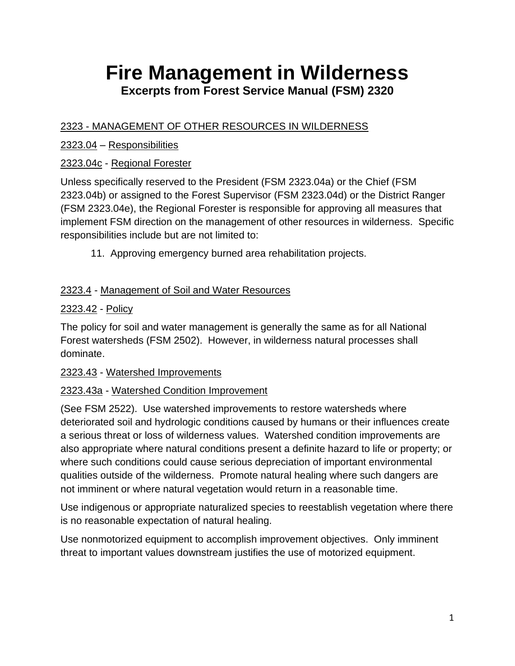# **Fire Management in Wilderness Excerpts from Forest Service Manual (FSM) 2320**

# 2323 - MANAGEMENT OF OTHER RESOURCES IN WILDERNESS

# 2323.04 – Responsibilities

# 2323.04c - Regional Forester

Unless specifically reserved to the President (FSM 2323.04a) or the Chief (FSM 2323.04b) or assigned to the Forest Supervisor (FSM 2323.04d) or the District Ranger (FSM 2323.04e), the Regional Forester is responsible for approving all measures that implement FSM direction on the management of other resources in wilderness. Specific responsibilities include but are not limited to:

11. Approving emergency burned area rehabilitation projects.

# 2323.4 - Management of Soil and Water Resources

# 2323.42 - Policy

The policy for soil and water management is generally the same as for all National Forest watersheds (FSM 2502). However, in wilderness natural processes shall dominate.

# 2323.43 - Watershed Improvements

# 2323.43a - Watershed Condition Improvement

(See FSM 2522). Use watershed improvements to restore watersheds where deteriorated soil and hydrologic conditions caused by humans or their influences create a serious threat or loss of wilderness values. Watershed condition improvements are also appropriate where natural conditions present a definite hazard to life or property; or where such conditions could cause serious depreciation of important environmental qualities outside of the wilderness. Promote natural healing where such dangers are not imminent or where natural vegetation would return in a reasonable time.

Use indigenous or appropriate naturalized species to reestablish vegetation where there is no reasonable expectation of natural healing.

Use nonmotorized equipment to accomplish improvement objectives. Only imminent threat to important values downstream justifies the use of motorized equipment.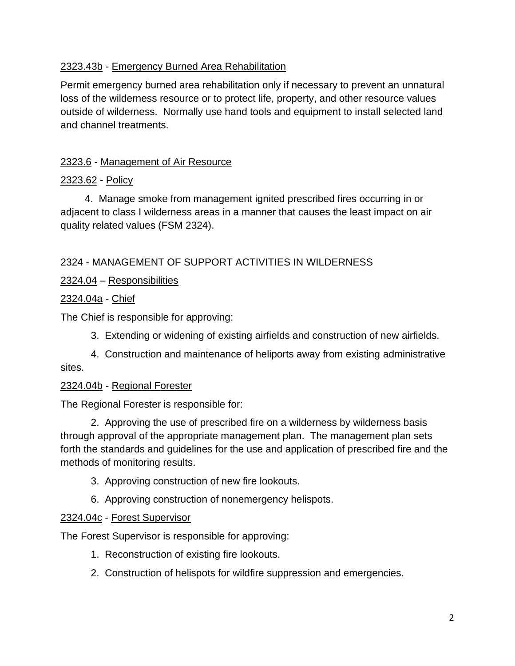# 2323.43b - Emergency Burned Area Rehabilitation

Permit emergency burned area rehabilitation only if necessary to prevent an unnatural loss of the wilderness resource or to protect life, property, and other resource values outside of wilderness. Normally use hand tools and equipment to install selected land and channel treatments.

# 2323.6 - Management of Air Resource

# 2323.62 - Policy

4. Manage smoke from management ignited prescribed fires occurring in or adjacent to class I wilderness areas in a manner that causes the least impact on air quality related values (FSM 2324).

# 2324 - MANAGEMENT OF SUPPORT ACTIVITIES IN WILDERNESS

# 2324.04 – Responsibilities

# 2324.04a - Chief

The Chief is responsible for approving:

3. Extending or widening of existing airfields and construction of new airfields.

4. Construction and maintenance of heliports away from existing administrative sites.

### 2324.04b - Regional Forester

The Regional Forester is responsible for:

2. Approving the use of prescribed fire on a wilderness by wilderness basis through approval of the appropriate management plan. The management plan sets forth the standards and guidelines for the use and application of prescribed fire and the methods of monitoring results.

- 3. Approving construction of new fire lookouts.
- 6. Approving construction of nonemergency helispots.

### 2324.04c - Forest Supervisor

The Forest Supervisor is responsible for approving:

- 1. Reconstruction of existing fire lookouts.
- 2. Construction of helispots for wildfire suppression and emergencies.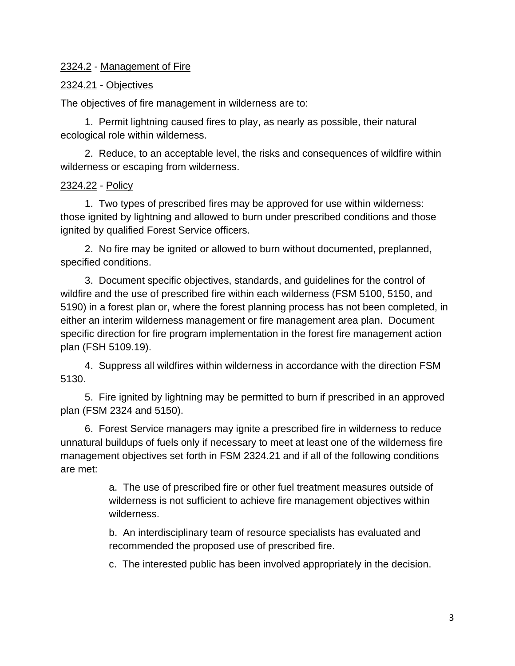### 2324.2 - Management of Fire

### 2324.21 - Objectives

The objectives of fire management in wilderness are to:

1. Permit lightning caused fires to play, as nearly as possible, their natural ecological role within wilderness.

2. Reduce, to an acceptable level, the risks and consequences of wildfire within wilderness or escaping from wilderness.

### 2324.22 - Policy

1. Two types of prescribed fires may be approved for use within wilderness: those ignited by lightning and allowed to burn under prescribed conditions and those ignited by qualified Forest Service officers.

2. No fire may be ignited or allowed to burn without documented, preplanned, specified conditions.

3. Document specific objectives, standards, and guidelines for the control of wildfire and the use of prescribed fire within each wilderness (FSM 5100, 5150, and 5190) in a forest plan or, where the forest planning process has not been completed, in either an interim wilderness management or fire management area plan. Document specific direction for fire program implementation in the forest fire management action plan (FSH 5109.19).

4. Suppress all wildfires within wilderness in accordance with the direction FSM 5130.

5. Fire ignited by lightning may be permitted to burn if prescribed in an approved plan (FSM 2324 and 5150).

6. Forest Service managers may ignite a prescribed fire in wilderness to reduce unnatural buildups of fuels only if necessary to meet at least one of the wilderness fire management objectives set forth in FSM 2324.21 and if all of the following conditions are met:

> a. The use of prescribed fire or other fuel treatment measures outside of wilderness is not sufficient to achieve fire management objectives within wilderness.

b. An interdisciplinary team of resource specialists has evaluated and recommended the proposed use of prescribed fire.

c. The interested public has been involved appropriately in the decision.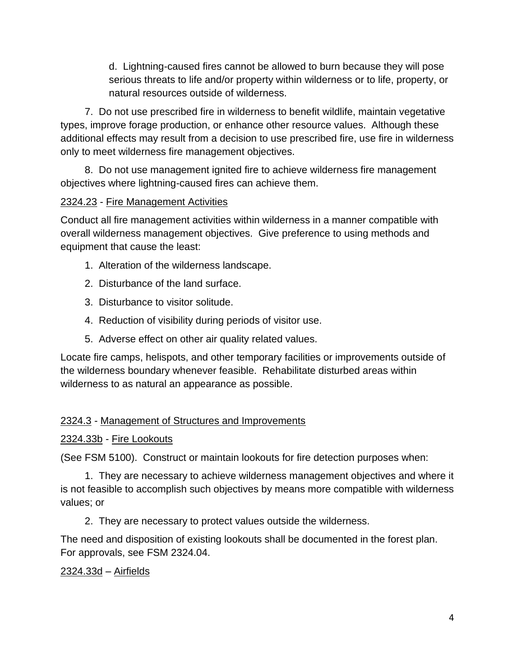d. Lightning-caused fires cannot be allowed to burn because they will pose serious threats to life and/or property within wilderness or to life, property, or natural resources outside of wilderness.

7. Do not use prescribed fire in wilderness to benefit wildlife, maintain vegetative types, improve forage production, or enhance other resource values. Although these additional effects may result from a decision to use prescribed fire, use fire in wilderness only to meet wilderness fire management objectives.

8. Do not use management ignited fire to achieve wilderness fire management objectives where lightning-caused fires can achieve them.

# 2324.23 - Fire Management Activities

Conduct all fire management activities within wilderness in a manner compatible with overall wilderness management objectives. Give preference to using methods and equipment that cause the least:

- 1. Alteration of the wilderness landscape.
- 2. Disturbance of the land surface.
- 3. Disturbance to visitor solitude.
- 4. Reduction of visibility during periods of visitor use.
- 5. Adverse effect on other air quality related values.

Locate fire camps, helispots, and other temporary facilities or improvements outside of the wilderness boundary whenever feasible. Rehabilitate disturbed areas within wilderness to as natural an appearance as possible.

### 2324.3 - Management of Structures and Improvements

### 2324.33b - Fire Lookouts

(See FSM 5100). Construct or maintain lookouts for fire detection purposes when:

1. They are necessary to achieve wilderness management objectives and where it is not feasible to accomplish such objectives by means more compatible with wilderness values; or

2. They are necessary to protect values outside the wilderness.

The need and disposition of existing lookouts shall be documented in the forest plan. For approvals, see FSM 2324.04.

### 2324.33d – Airfields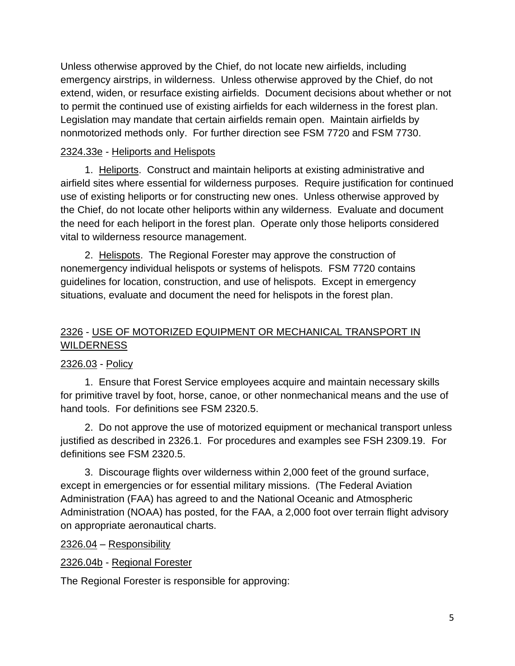Unless otherwise approved by the Chief, do not locate new airfields, including emergency airstrips, in wilderness. Unless otherwise approved by the Chief, do not extend, widen, or resurface existing airfields. Document decisions about whether or not to permit the continued use of existing airfields for each wilderness in the forest plan. Legislation may mandate that certain airfields remain open. Maintain airfields by nonmotorized methods only. For further direction see FSM 7720 and FSM 7730.

# 2324.33e - Heliports and Helispots

1. Heliports. Construct and maintain heliports at existing administrative and airfield sites where essential for wilderness purposes. Require justification for continued use of existing heliports or for constructing new ones. Unless otherwise approved by the Chief, do not locate other heliports within any wilderness. Evaluate and document the need for each heliport in the forest plan. Operate only those heliports considered vital to wilderness resource management.

2. Helispots. The Regional Forester may approve the construction of nonemergency individual helispots or systems of helispots. FSM 7720 contains guidelines for location, construction, and use of helispots. Except in emergency situations, evaluate and document the need for helispots in the forest plan.

# 2326 - USE OF MOTORIZED EQUIPMENT OR MECHANICAL TRANSPORT IN WILDERNESS

# 2326.03 - Policy

1. Ensure that Forest Service employees acquire and maintain necessary skills for primitive travel by foot, horse, canoe, or other nonmechanical means and the use of hand tools. For definitions see FSM 2320.5.

2. Do not approve the use of motorized equipment or mechanical transport unless justified as described in 2326.1. For procedures and examples see FSH 2309.19. For definitions see FSM 2320.5.

3. Discourage flights over wilderness within 2,000 feet of the ground surface, except in emergencies or for essential military missions. (The Federal Aviation Administration (FAA) has agreed to and the National Oceanic and Atmospheric Administration (NOAA) has posted, for the FAA, a 2,000 foot over terrain flight advisory on appropriate aeronautical charts.

2326.04 – Responsibility

2326.04b - Regional Forester

The Regional Forester is responsible for approving: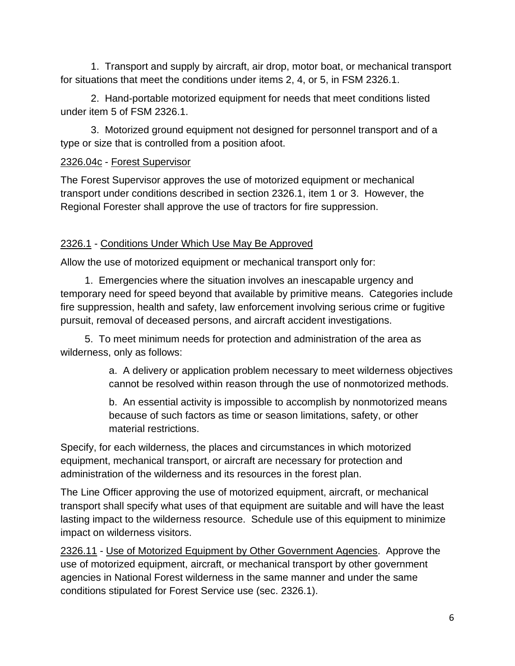1. Transport and supply by aircraft, air drop, motor boat, or mechanical transport for situations that meet the conditions under items 2, 4, or 5, in FSM 2326.1.

2. Hand-portable motorized equipment for needs that meet conditions listed under item 5 of FSM 2326.1.

3. Motorized ground equipment not designed for personnel transport and of a type or size that is controlled from a position afoot.

# 2326.04c - Forest Supervisor

The Forest Supervisor approves the use of motorized equipment or mechanical transport under conditions described in section 2326.1, item 1 or 3. However, the Regional Forester shall approve the use of tractors for fire suppression.

# 2326.1 - Conditions Under Which Use May Be Approved

Allow the use of motorized equipment or mechanical transport only for:

1. Emergencies where the situation involves an inescapable urgency and temporary need for speed beyond that available by primitive means. Categories include fire suppression, health and safety, law enforcement involving serious crime or fugitive pursuit, removal of deceased persons, and aircraft accident investigations.

5. To meet minimum needs for protection and administration of the area as wilderness, only as follows:

> a. A delivery or application problem necessary to meet wilderness objectives cannot be resolved within reason through the use of nonmotorized methods.

b. An essential activity is impossible to accomplish by nonmotorized means because of such factors as time or season limitations, safety, or other material restrictions.

Specify, for each wilderness, the places and circumstances in which motorized equipment, mechanical transport, or aircraft are necessary for protection and administration of the wilderness and its resources in the forest plan.

The Line Officer approving the use of motorized equipment, aircraft, or mechanical transport shall specify what uses of that equipment are suitable and will have the least lasting impact to the wilderness resource. Schedule use of this equipment to minimize impact on wilderness visitors.

2326.11 - Use of Motorized Equipment by Other Government Agencies. Approve the use of motorized equipment, aircraft, or mechanical transport by other government agencies in National Forest wilderness in the same manner and under the same conditions stipulated for Forest Service use (sec. 2326.1).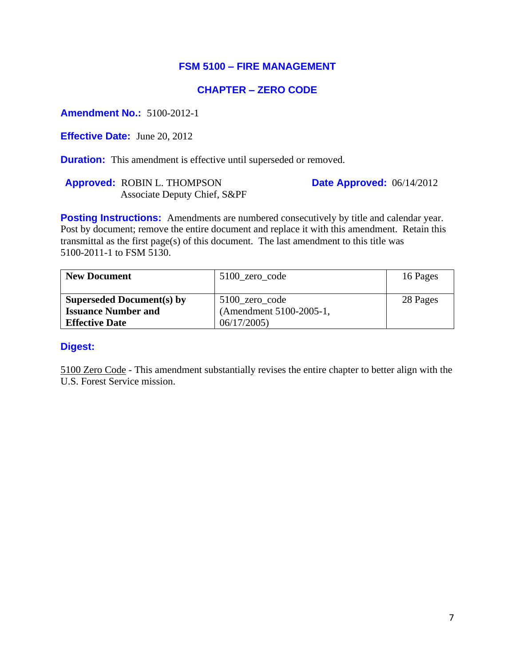### **FSM 5100 – FIRE MANAGEMENT**

### **CHAPTER – ZERO CODE**

**Amendment No.:** 5100-2012-1

**Effective Date:** June 20, 2012

**Duration:** This amendment is effective until superseded or removed.

**Approved:** ROBIN L. THOMPSON Associate Deputy Chief, S&PF **Date Approved:** 06/14/2012

**Posting Instructions:** Amendments are numbered consecutively by title and calendar year. Post by document; remove the entire document and replace it with this amendment. Retain this transmittal as the first page(s) of this document. The last amendment to this title was 5100-2011-1 to FSM 5130.

| <b>New Document</b>              | 5100_zero_code          | 16 Pages |
|----------------------------------|-------------------------|----------|
|                                  |                         |          |
| <b>Superseded Document(s) by</b> | 5100 zero code          | 28 Pages |
| <b>Issuance Number and</b>       | (Amendment 5100-2005-1, |          |
| <b>Effective Date</b>            | 06/17/2005              |          |

#### **Digest:**

5100 Zero Code - This amendment substantially revises the entire chapter to better align with the U.S. Forest Service mission.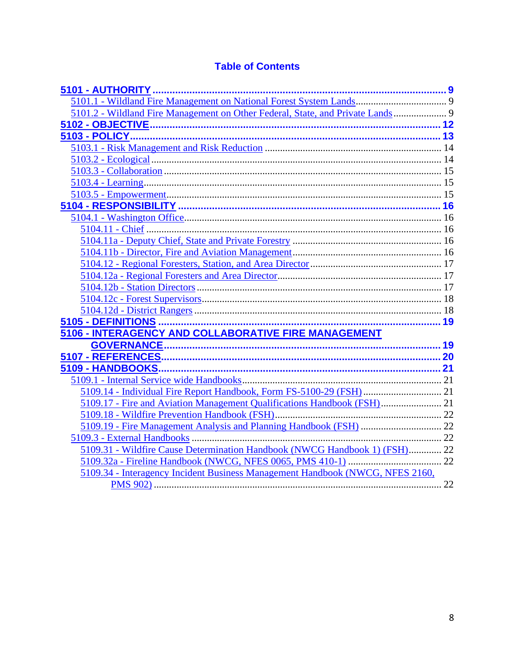# **Table of Contents**

| 5101.2 - Wildland Fire Management on Other Federal, State, and Private Lands 9 |  |
|--------------------------------------------------------------------------------|--|
|                                                                                |  |
|                                                                                |  |
|                                                                                |  |
|                                                                                |  |
|                                                                                |  |
|                                                                                |  |
|                                                                                |  |
|                                                                                |  |
|                                                                                |  |
|                                                                                |  |
|                                                                                |  |
|                                                                                |  |
|                                                                                |  |
|                                                                                |  |
|                                                                                |  |
|                                                                                |  |
|                                                                                |  |
|                                                                                |  |
| 5106 - INTERAGENCY AND COLLABORATIVE FIRE MANAGEMENT                           |  |
|                                                                                |  |
|                                                                                |  |
|                                                                                |  |
|                                                                                |  |
| 5109.14 - Individual Fire Report Handbook, Form FS-5100-29 (FSH)  21           |  |
| 5109.17 - Fire and Aviation Management Qualifications Handbook (FSH) 21        |  |
|                                                                                |  |
|                                                                                |  |
|                                                                                |  |
| 5109.31 - Wildfire Cause Determination Handbook (NWCG Handbook 1) (FSH) 22     |  |
|                                                                                |  |
| 5109.34 - Interagency Incident Business Management Handbook (NWCG, NFES 2160,  |  |
|                                                                                |  |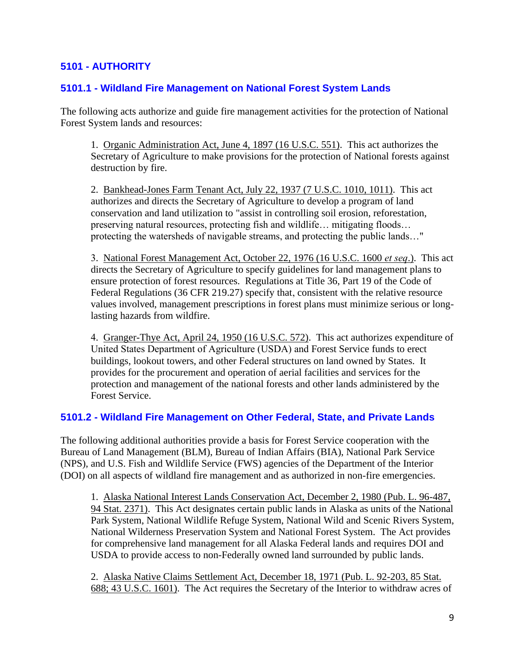# <span id="page-8-0"></span>**5101 - AUTHORITY**

### <span id="page-8-1"></span>**5101.1 - Wildland Fire Management on National Forest System Lands**

The following acts authorize and guide fire management activities for the protection of National Forest System lands and resources:

1. Organic Administration Act, June 4, 1897 (16 U.S.C. 551). This act authorizes the Secretary of Agriculture to make provisions for the protection of National forests against destruction by fire.

2. Bankhead-Jones Farm Tenant Act, July 22, 1937 (7 U.S.C. 1010, 1011). This act authorizes and directs the Secretary of Agriculture to develop a program of land conservation and land utilization to "assist in controlling soil erosion, reforestation, preserving natural resources, protecting fish and wildlife… mitigating floods… protecting the watersheds of navigable streams, and protecting the public lands…"

3. National Forest Management Act, October 22, 1976 (16 U.S.C. 1600 *et seq*.). This act directs the Secretary of Agriculture to specify guidelines for land management plans to ensure protection of forest resources. Regulations at Title 36, Part 19 of the Code of Federal Regulations (36 CFR 219.27) specify that, consistent with the relative resource values involved, management prescriptions in forest plans must minimize serious or longlasting hazards from wildfire.

4. Granger-Thye Act, April 24, 1950 (16 U.S.C. 572). This act authorizes expenditure of United States Department of Agriculture (USDA) and Forest Service funds to erect buildings, lookout towers, and other Federal structures on land owned by States. It provides for the procurement and operation of aerial facilities and services for the protection and management of the national forests and other lands administered by the Forest Service.

#### <span id="page-8-2"></span>**5101.2 - Wildland Fire Management on Other Federal, State, and Private Lands**

The following additional authorities provide a basis for Forest Service cooperation with the Bureau of Land Management (BLM), Bureau of Indian Affairs (BIA), National Park Service (NPS), and U.S. Fish and Wildlife Service (FWS) agencies of the Department of the Interior (DOI) on all aspects of wildland fire management and as authorized in non-fire emergencies.

1. Alaska National Interest Lands Conservation Act, December 2, 1980 (Pub. L. 96-487, 94 Stat. 2371). This Act designates certain public lands in Alaska as units of the National Park System, National Wildlife Refuge System, National Wild and Scenic Rivers System, National Wilderness Preservation System and National Forest System. The Act provides for comprehensive land management for all Alaska Federal lands and requires DOI and USDA to provide access to non-Federally owned land surrounded by public lands.

2. Alaska Native Claims Settlement Act, December 18, 1971 (Pub. L. 92-203, 85 Stat. 688; 43 U.S.C. 1601). The Act requires the Secretary of the Interior to withdraw acres of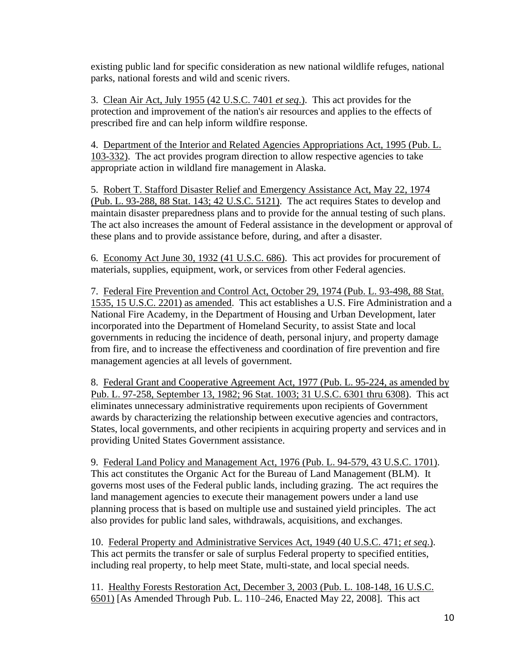existing public land for specific consideration as new national wildlife refuges, national parks, national forests and wild and scenic rivers.

3. Clean Air Act, July 1955 (42 U.S.C. 7401 *et seq*.). This act provides for the protection and improvement of the nation's air resources and applies to the effects of prescribed fire and can help inform wildfire response.

4. Department of the Interior and Related Agencies Appropriations Act, 1995 (Pub. L. 103-332). The act provides program direction to allow respective agencies to take appropriate action in wildland fire management in Alaska.

5. Robert T. Stafford Disaster Relief and Emergency Assistance Act, May 22, 1974 (Pub. L. 93-288, 88 Stat. 143; 42 U.S.C. 5121). The act requires States to develop and maintain disaster preparedness plans and to provide for the annual testing of such plans. The act also increases the amount of Federal assistance in the development or approval of these plans and to provide assistance before, during, and after a disaster.

6. Economy Act June 30, 1932 (41 U.S.C. 686). This act provides for procurement of materials, supplies, equipment, work, or services from other Federal agencies.

7. Federal Fire Prevention and Control Act, October 29, 1974 (Pub. L. 93-498, 88 Stat. 1535, 15 U.S.C. 2201) as amended. This act establishes a U.S. Fire Administration and a National Fire Academy, in the Department of Housing and Urban Development, later incorporated into the Department of Homeland Security, to assist State and local governments in reducing the incidence of death, personal injury, and property damage from fire, and to increase the effectiveness and coordination of fire prevention and fire management agencies at all levels of government.

8. Federal Grant and Cooperative Agreement Act, 1977 (Pub. L. 95-224, as amended by Pub. L. 97-258, September 13, 1982; 96 Stat. 1003; 31 U.S.C. 6301 thru 6308). This act eliminates unnecessary administrative requirements upon recipients of Government awards by characterizing the relationship between executive agencies and contractors, States, local governments, and other recipients in acquiring property and services and in providing United States Government assistance.

9. Federal Land Policy and Management Act, 1976 (Pub. L. 94-579, 43 U.S.C. 1701). This act constitutes the Organic Act for the Bureau of Land Management (BLM). It governs most uses of the Federal public lands, including grazing. The act requires the land management agencies to execute their management powers under a land use planning process that is based on multiple use and sustained yield principles. The act also provides for public land sales, withdrawals, acquisitions, and exchanges.

10. Federal Property and Administrative Services Act, 1949 (40 U.S.C. 471; *et seq*.). This act permits the transfer or sale of surplus Federal property to specified entities, including real property, to help meet State, multi-state, and local special needs.

11. Healthy Forests Restoration Act, December 3, 2003 (Pub. L. 108-148, 16 U.S.C. 6501) [As Amended Through Pub. L. 110–246, Enacted May 22, 2008]. This act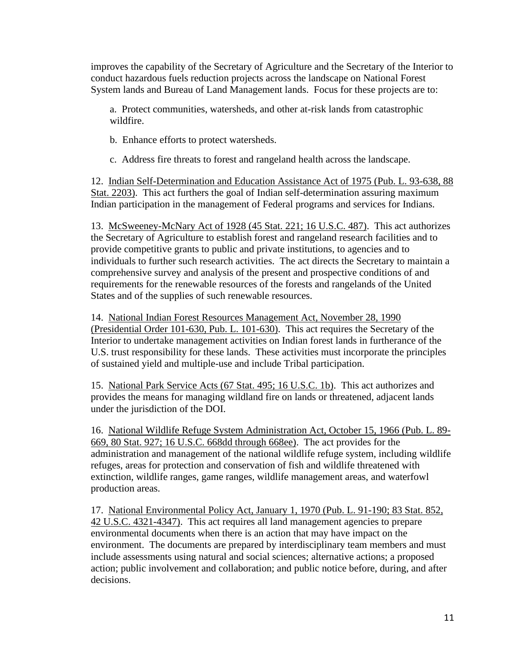improves the capability of the Secretary of Agriculture and the Secretary of the Interior to conduct hazardous fuels reduction projects across the landscape on National Forest System lands and Bureau of Land Management lands. Focus for these projects are to:

a. Protect communities, watersheds, and other at-risk lands from catastrophic wildfire.

b. Enhance efforts to protect watersheds.

c. Address fire threats to forest and rangeland health across the landscape.

12. Indian Self-Determination and Education Assistance Act of 1975 (Pub. L. 93-638, 88 Stat. 2203). This act furthers the goal of Indian self-determination assuring maximum Indian participation in the management of Federal programs and services for Indians.

13. McSweeney-McNary Act of 1928 (45 Stat. 221; 16 U.S.C. 487). This act authorizes the Secretary of Agriculture to establish forest and rangeland research facilities and to provide competitive grants to public and private institutions, to agencies and to individuals to further such research activities. The act directs the Secretary to maintain a comprehensive survey and analysis of the present and prospective conditions of and requirements for the renewable resources of the forests and rangelands of the United States and of the supplies of such renewable resources.

14. National Indian Forest Resources Management Act, November 28, 1990 (Presidential Order 101-630, Pub. L. 101-630). This act requires the Secretary of the Interior to undertake management activities on Indian forest lands in furtherance of the U.S. trust responsibility for these lands. These activities must incorporate the principles of sustained yield and multiple-use and include Tribal participation.

15. National Park Service Acts (67 Stat. 495; 16 U.S.C. 1b). This act authorizes and provides the means for managing wildland fire on lands or threatened, adjacent lands under the jurisdiction of the DOI.

16. National Wildlife Refuge System Administration Act, October 15, 1966 (Pub. L. 89- 669, 80 Stat. 927; 16 U.S.C. 668dd through 668ee). The act provides for the administration and management of the national wildlife refuge system, including wildlife refuges, areas for protection and conservation of fish and wildlife threatened with extinction, wildlife ranges, game ranges, wildlife management areas, and waterfowl production areas.

17. National Environmental Policy Act, January 1, 1970 (Pub. L. 91-190; 83 Stat. 852, 42 U.S.C. 4321-4347). This act requires all land management agencies to prepare environmental documents when there is an action that may have impact on the environment. The documents are prepared by interdisciplinary team members and must include assessments using natural and social sciences; alternative actions; a proposed action; public involvement and collaboration; and public notice before, during, and after decisions.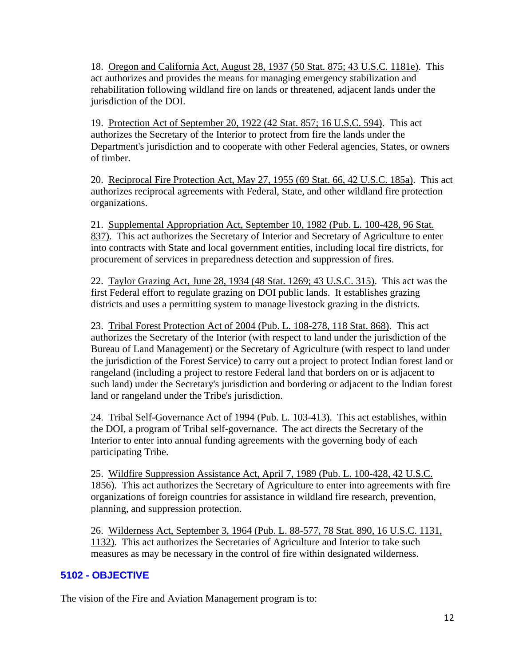18. Oregon and California Act, August 28, 1937 (50 Stat. 875; 43 U.S.C. 1181e). This act authorizes and provides the means for managing emergency stabilization and rehabilitation following wildland fire on lands or threatened, adjacent lands under the jurisdiction of the DOI.

19. Protection Act of September 20, 1922 (42 Stat. 857; 16 U.S.C. 594). This act authorizes the Secretary of the Interior to protect from fire the lands under the Department's jurisdiction and to cooperate with other Federal agencies, States, or owners of timber.

20. Reciprocal Fire Protection Act, May 27, 1955 (69 Stat. 66, 42 U.S.C. 185a). This act authorizes reciprocal agreements with Federal, State, and other wildland fire protection organizations.

21. Supplemental Appropriation Act, September 10, 1982 (Pub. L. 100-428, 96 Stat. 837). This act authorizes the Secretary of Interior and Secretary of Agriculture to enter into contracts with State and local government entities, including local fire districts, for procurement of services in preparedness detection and suppression of fires.

22. Taylor Grazing Act, June 28, 1934 (48 Stat. 1269; 43 U.S.C. 315). This act was the first Federal effort to regulate grazing on DOI public lands. It establishes grazing districts and uses a permitting system to manage livestock grazing in the districts.

23. Tribal Forest Protection Act of 2004 (Pub. L. 108-278, 118 Stat. 868). This act authorizes the Secretary of the Interior (with respect to land under the jurisdiction of the Bureau of Land Management) or the Secretary of Agriculture (with respect to land under the jurisdiction of the Forest Service) to carry out a project to protect Indian forest land or rangeland (including a project to restore Federal land that borders on or is adjacent to such land) under the Secretary's jurisdiction and bordering or adjacent to the Indian forest land or rangeland under the Tribe's jurisdiction.

24. Tribal Self-Governance Act of 1994 (Pub. L. 103-413). This act establishes, within the DOI, a program of Tribal self-governance. The act directs the Secretary of the Interior to enter into annual funding agreements with the governing body of each participating Tribe.

25. Wildfire Suppression Assistance Act, April 7, 1989 (Pub. L. 100-428, 42 U.S.C. 1856). This act authorizes the Secretary of Agriculture to enter into agreements with fire organizations of foreign countries for assistance in wildland fire research, prevention, planning, and suppression protection.

26. Wilderness Act, September 3, 1964 (Pub. L. 88-577, 78 Stat. 890, 16 U.S.C. 1131, 1132). This act authorizes the Secretaries of Agriculture and Interior to take such measures as may be necessary in the control of fire within designated wilderness.

### <span id="page-11-0"></span>**5102 - OBJECTIVE**

The vision of the Fire and Aviation Management program is to: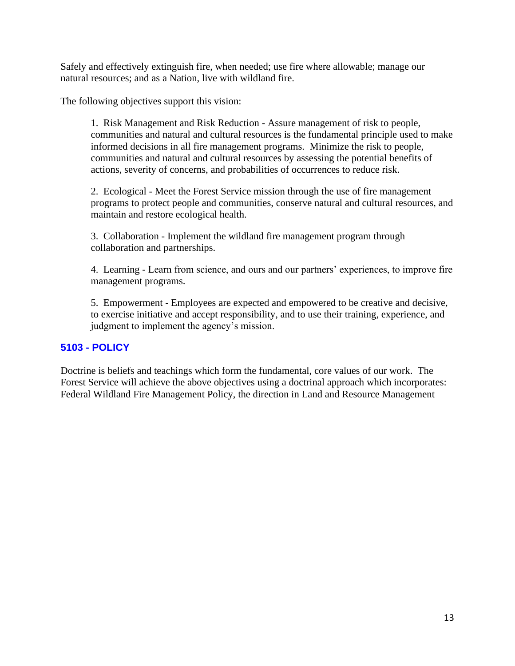Safely and effectively extinguish fire, when needed; use fire where allowable; manage our natural resources; and as a Nation, live with wildland fire.

The following objectives support this vision:

1. Risk Management and Risk Reduction - Assure management of risk to people, communities and natural and cultural resources is the fundamental principle used to make informed decisions in all fire management programs. Minimize the risk to people, communities and natural and cultural resources by assessing the potential benefits of actions, severity of concerns, and probabilities of occurrences to reduce risk.

2. Ecological - Meet the Forest Service mission through the use of fire management programs to protect people and communities, conserve natural and cultural resources, and maintain and restore ecological health.

3. Collaboration - Implement the wildland fire management program through collaboration and partnerships.

4. Learning - Learn from science, and ours and our partners' experiences, to improve fire management programs.

5. Empowerment - Employees are expected and empowered to be creative and decisive, to exercise initiative and accept responsibility, and to use their training, experience, and judgment to implement the agency's mission.

### <span id="page-12-0"></span>**5103 - POLICY**

Doctrine is beliefs and teachings which form the fundamental, core values of our work. The Forest Service will achieve the above objectives using a doctrinal approach which incorporates: Federal Wildland Fire Management Policy, the direction in Land and Resource Management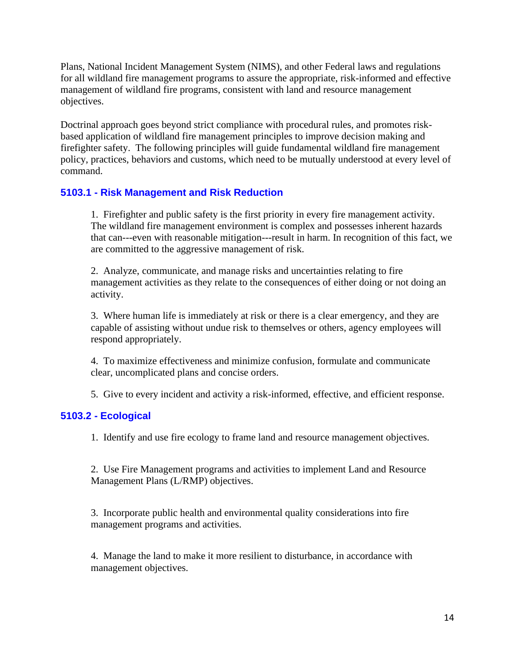Plans, National Incident Management System (NIMS), and other Federal laws and regulations for all wildland fire management programs to assure the appropriate, risk-informed and effective management of wildland fire programs, consistent with land and resource management objectives.

Doctrinal approach goes beyond strict compliance with procedural rules, and promotes riskbased application of wildland fire management principles to improve decision making and firefighter safety. The following principles will guide fundamental wildland fire management policy, practices, behaviors and customs, which need to be mutually understood at every level of command.

#### <span id="page-13-0"></span>**5103.1 - Risk Management and Risk Reduction**

1. Firefighter and public safety is the first priority in every fire management activity. The wildland fire management environment is complex and possesses inherent hazards that can---even with reasonable mitigation---result in harm. In recognition of this fact, we are committed to the aggressive management of risk.

2. Analyze, communicate, and manage risks and uncertainties relating to fire management activities as they relate to the consequences of either doing or not doing an activity.

3. Where human life is immediately at risk or there is a clear emergency, and they are capable of assisting without undue risk to themselves or others, agency employees will respond appropriately.

4. To maximize effectiveness and minimize confusion, formulate and communicate clear, uncomplicated plans and concise orders.

5. Give to every incident and activity a risk-informed, effective, and efficient response.

#### <span id="page-13-1"></span>**5103.2 - Ecological**

1. Identify and use fire ecology to frame land and resource management objectives.

2. Use Fire Management programs and activities to implement Land and Resource Management Plans (L/RMP) objectives.

3. Incorporate public health and environmental quality considerations into fire management programs and activities.

4. Manage the land to make it more resilient to disturbance, in accordance with management objectives.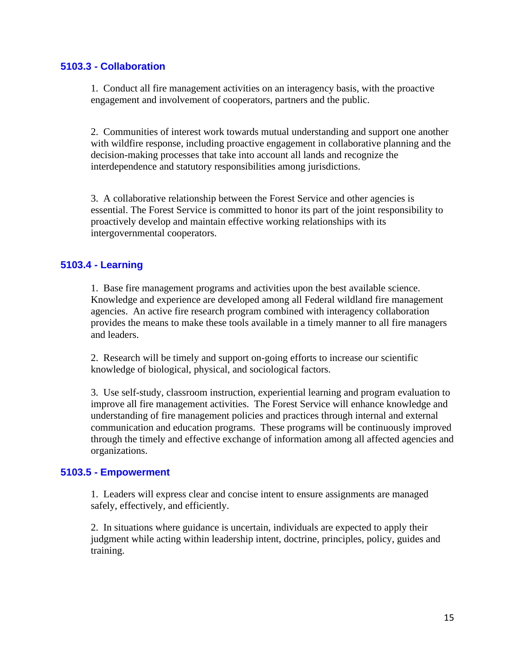### <span id="page-14-0"></span>**5103.3 - Collaboration**

1. Conduct all fire management activities on an interagency basis, with the proactive engagement and involvement of cooperators, partners and the public.

2. Communities of interest work towards mutual understanding and support one another with wildfire response, including proactive engagement in collaborative planning and the decision-making processes that take into account all lands and recognize the interdependence and statutory responsibilities among jurisdictions.

3. A collaborative relationship between the Forest Service and other agencies is essential. The Forest Service is committed to honor its part of the joint responsibility to proactively develop and maintain effective working relationships with its intergovernmental cooperators.

### <span id="page-14-1"></span>**5103.4 - Learning**

1. Base fire management programs and activities upon the best available science. Knowledge and experience are developed among all Federal wildland fire management agencies. An active fire research program combined with interagency collaboration provides the means to make these tools available in a timely manner to all fire managers and leaders.

2. Research will be timely and support on-going efforts to increase our scientific knowledge of biological, physical, and sociological factors.

3. Use self-study, classroom instruction, experiential learning and program evaluation to improve all fire management activities. The Forest Service will enhance knowledge and understanding of fire management policies and practices through internal and external communication and education programs. These programs will be continuously improved through the timely and effective exchange of information among all affected agencies and organizations.

#### <span id="page-14-2"></span>**5103.5 - Empowerment**

1. Leaders will express clear and concise intent to ensure assignments are managed safely, effectively, and efficiently.

2. In situations where guidance is uncertain, individuals are expected to apply their judgment while acting within leadership intent, doctrine, principles, policy, guides and training.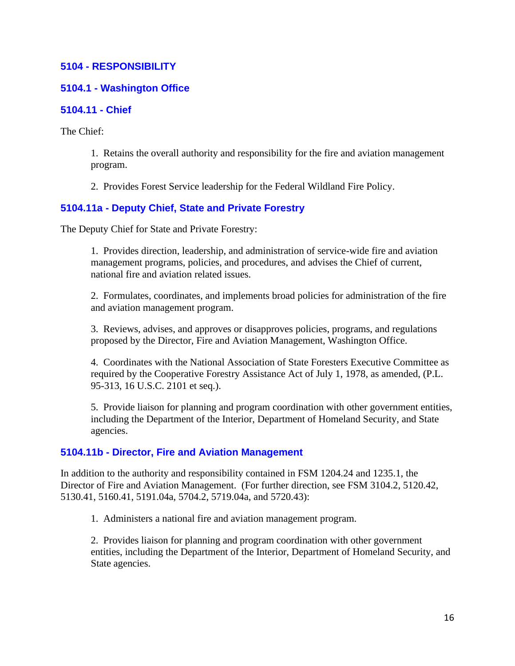### <span id="page-15-0"></span>**5104 - RESPONSIBILITY**

### <span id="page-15-1"></span>**5104.1 - Washington Office**

#### <span id="page-15-2"></span>**5104.11 - Chief**

The Chief:

1. Retains the overall authority and responsibility for the fire and aviation management program.

2. Provides Forest Service leadership for the Federal Wildland Fire Policy.

### <span id="page-15-3"></span>**5104.11a - Deputy Chief, State and Private Forestry**

The Deputy Chief for State and Private Forestry:

1. Provides direction, leadership, and administration of service-wide fire and aviation management programs, policies, and procedures, and advises the Chief of current, national fire and aviation related issues.

2. Formulates, coordinates, and implements broad policies for administration of the fire and aviation management program.

3. Reviews, advises, and approves or disapproves policies, programs, and regulations proposed by the Director, Fire and Aviation Management, Washington Office.

4. Coordinates with the National Association of State Foresters Executive Committee as required by the Cooperative Forestry Assistance Act of July 1, 1978, as amended, (P.L. 95-313, 16 U.S.C. 2101 et seq.).

5. Provide liaison for planning and program coordination with other government entities, including the Department of the Interior, Department of Homeland Security, and State agencies.

### <span id="page-15-4"></span>**5104.11b - Director, Fire and Aviation Management**

In addition to the authority and responsibility contained in FSM 1204.24 and 1235.1, the Director of Fire and Aviation Management. (For further direction, see FSM 3104.2, 5120.42, 5130.41, 5160.41, 5191.04a, 5704.2, 5719.04a, and 5720.43):

1. Administers a national fire and aviation management program.

2. Provides liaison for planning and program coordination with other government entities, including the Department of the Interior, Department of Homeland Security, and State agencies.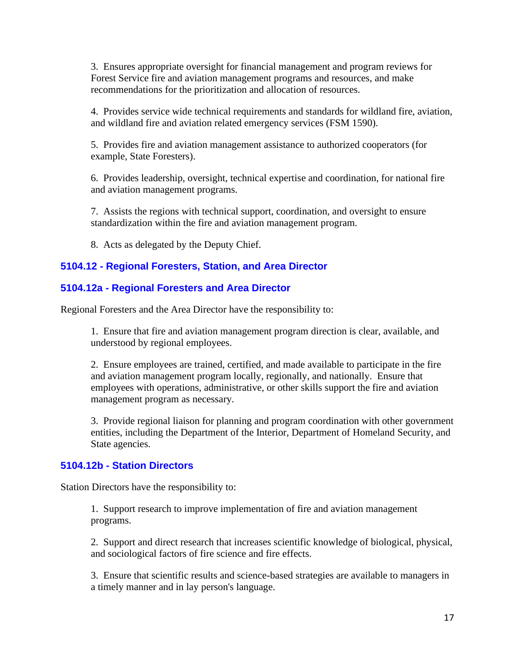3. Ensures appropriate oversight for financial management and program reviews for Forest Service fire and aviation management programs and resources, and make recommendations for the prioritization and allocation of resources.

4. Provides service wide technical requirements and standards for wildland fire, aviation, and wildland fire and aviation related emergency services (FSM 1590).

5. Provides fire and aviation management assistance to authorized cooperators (for example, State Foresters).

6. Provides leadership, oversight, technical expertise and coordination, for national fire and aviation management programs.

7. Assists the regions with technical support, coordination, and oversight to ensure standardization within the fire and aviation management program.

8. Acts as delegated by the Deputy Chief.

### <span id="page-16-0"></span>**5104.12 - Regional Foresters, Station, and Area Director**

### <span id="page-16-1"></span>**5104.12a - Regional Foresters and Area Director**

Regional Foresters and the Area Director have the responsibility to:

1. Ensure that fire and aviation management program direction is clear, available, and understood by regional employees.

2. Ensure employees are trained, certified, and made available to participate in the fire and aviation management program locally, regionally, and nationally. Ensure that employees with operations, administrative, or other skills support the fire and aviation management program as necessary.

3. Provide regional liaison for planning and program coordination with other government entities, including the Department of the Interior, Department of Homeland Security, and State agencies.

### <span id="page-16-2"></span>**5104.12b - Station Directors**

Station Directors have the responsibility to:

1. Support research to improve implementation of fire and aviation management programs.

2. Support and direct research that increases scientific knowledge of biological, physical, and sociological factors of fire science and fire effects.

3. Ensure that scientific results and science-based strategies are available to managers in a timely manner and in lay person's language.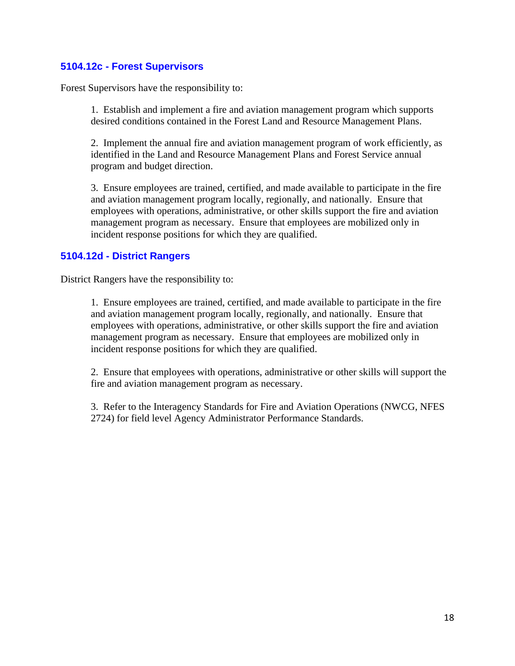### <span id="page-17-0"></span>**5104.12c - Forest Supervisors**

Forest Supervisors have the responsibility to:

1. Establish and implement a fire and aviation management program which supports desired conditions contained in the Forest Land and Resource Management Plans.

2. Implement the annual fire and aviation management program of work efficiently, as identified in the Land and Resource Management Plans and Forest Service annual program and budget direction.

3. Ensure employees are trained, certified, and made available to participate in the fire and aviation management program locally, regionally, and nationally. Ensure that employees with operations, administrative, or other skills support the fire and aviation management program as necessary. Ensure that employees are mobilized only in incident response positions for which they are qualified.

### <span id="page-17-1"></span>**5104.12d - District Rangers**

District Rangers have the responsibility to:

1. Ensure employees are trained, certified, and made available to participate in the fire and aviation management program locally, regionally, and nationally. Ensure that employees with operations, administrative, or other skills support the fire and aviation management program as necessary. Ensure that employees are mobilized only in incident response positions for which they are qualified.

2. Ensure that employees with operations, administrative or other skills will support the fire and aviation management program as necessary.

3. Refer to the Interagency Standards for Fire and Aviation Operations (NWCG, NFES 2724) for field level Agency Administrator Performance Standards.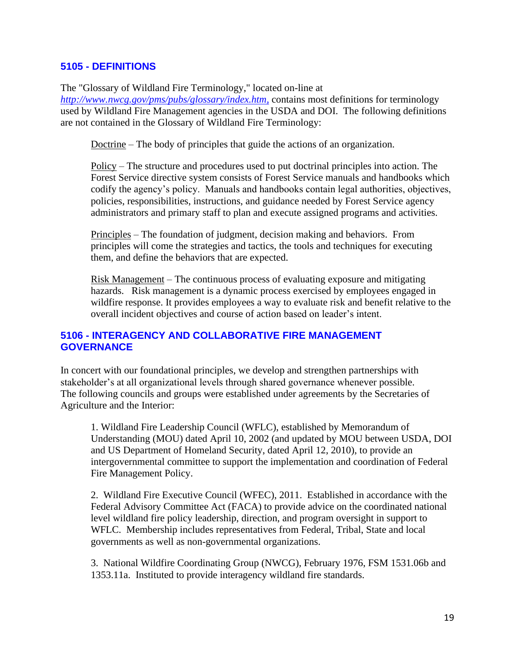### <span id="page-18-0"></span>**5105 - DEFINITIONS**

The "Glossary of Wildland Fire Terminology," located on-line at

*[http://www.nwcg.gov/pms/pubs/glossary/index.htm,](http://www.nwcg.gov/pms/pubs/glossary/index.htm)* contains most definitions for terminology used by Wildland Fire Management agencies in the USDA and DOI. The following definitions are not contained in the Glossary of Wildland Fire Terminology:

Doctrine – The body of principles that guide the actions of an organization.

Policy – The structure and procedures used to put doctrinal principles into action. The Forest Service directive system consists of Forest Service manuals and handbooks which codify the agency's policy. Manuals and handbooks contain legal authorities, objectives, policies, responsibilities, instructions, and guidance needed by Forest Service agency administrators and primary staff to plan and execute assigned programs and activities.

Principles – The foundation of judgment, decision making and behaviors. From principles will come the strategies and tactics, the tools and techniques for executing them, and define the behaviors that are expected.

Risk Management – The continuous process of evaluating exposure and mitigating hazards. Risk management is a dynamic process exercised by employees engaged in wildfire response. It provides employees a way to evaluate risk and benefit relative to the overall incident objectives and course of action based on leader's intent.

### <span id="page-18-1"></span>**5106 - INTERAGENCY AND COLLABORATIVE FIRE MANAGEMENT GOVERNANCE**

In concert with our foundational principles, we develop and strengthen partnerships with stakeholder's at all organizational levels through shared governance whenever possible. The following councils and groups were established under agreements by the Secretaries of Agriculture and the Interior:

1. Wildland Fire Leadership Council (WFLC), established by Memorandum of Understanding (MOU) dated April 10, 2002 (and updated by MOU between USDA, DOI and US Department of Homeland Security, dated April 12, 2010), to provide an intergovernmental committee to support the implementation and coordination of Federal Fire Management Policy.

2. Wildland Fire Executive Council (WFEC), 2011. Established in accordance with the Federal Advisory Committee Act (FACA) to provide advice on the coordinated national level wildland fire policy leadership, direction, and program oversight in support to WFLC. Membership includes representatives from Federal, Tribal, State and local governments as well as non-governmental organizations.

3. National Wildfire Coordinating Group (NWCG), February 1976, FSM 1531.06b and 1353.11a. Instituted to provide interagency wildland fire standards.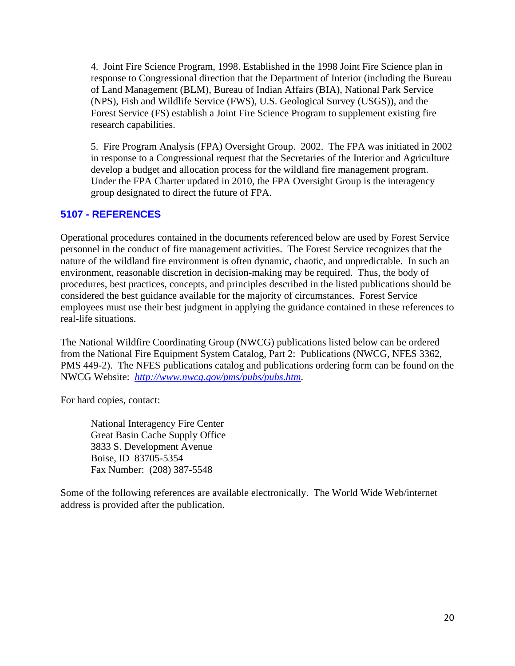4. Joint Fire Science Program, 1998. Established in the 1998 Joint Fire Science plan in response to Congressional direction that the Department of Interior (including the Bureau of Land Management (BLM), Bureau of Indian Affairs (BIA), National Park Service (NPS), Fish and Wildlife Service (FWS), U.S. Geological Survey (USGS)), and the Forest Service (FS) establish a Joint Fire Science Program to supplement existing fire research capabilities.

5. Fire Program Analysis (FPA) Oversight Group. 2002. The FPA was initiated in 2002 in response to a Congressional request that the Secretaries of the Interior and Agriculture develop a budget and allocation process for the wildland fire management program. Under the FPA Charter updated in 2010, the FPA Oversight Group is the interagency group designated to direct the future of FPA.

# <span id="page-19-0"></span>**5107 - REFERENCES**

Operational procedures contained in the documents referenced below are used by Forest Service personnel in the conduct of fire management activities. The Forest Service recognizes that the nature of the wildland fire environment is often dynamic, chaotic, and unpredictable. In such an environment, reasonable discretion in decision**-**making may be required. Thus, the body of procedures, best practices, concepts, and principles described in the listed publications should be considered the best guidance available for the majority of circumstances. Forest Service employees must use their best judgment in applying the guidance contained in these references to real-life situations.

The National Wildfire Coordinating Group (NWCG) publications listed below can be ordered from the National Fire Equipment System Catalog, Part 2: Publications (NWCG, NFES 3362, PMS 449-2). The NFES publications catalog and publications ordering form can be found on the NWCG Website: *[http://www.nwcg.gov/pms/pubs/pubs.htm.](http://www.nwcg.gov/pms/pubs/pubs.htm)*

For hard copies, contact:

National Interagency Fire Center Great Basin Cache Supply Office 3833 S. Development Avenue Boise, ID 83705-5354 Fax Number: (208) 387-5548

Some of the following references are available electronically. The World Wide Web/internet address is provided after the publication.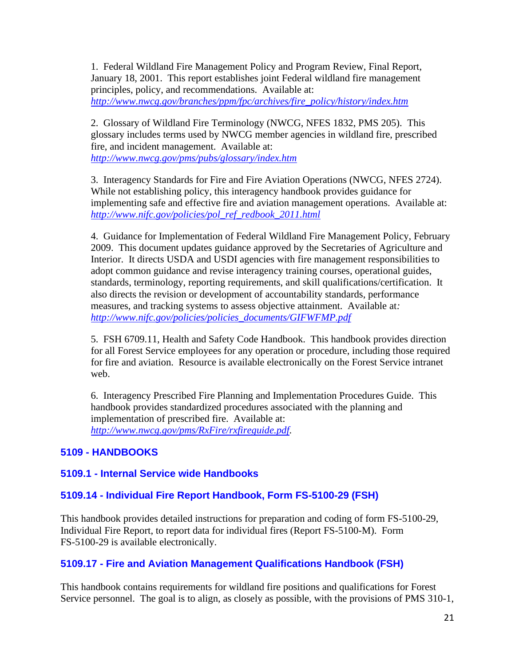1. Federal Wildland Fire Management Policy and Program Review, Final Report, January 18, 2001. This report establishes joint Federal wildland fire management principles, policy, and recommendations. Available at: *[http://www.nwcg.gov/branches/ppm/fpc/archives/fire\\_policy/history/index.htm](http://www.nwcg.gov/branches/ppm/fpc/archives/fire_policy/history/index.htm)*

2. Glossary of Wildland Fire Terminology (NWCG, NFES 1832, PMS 205). This glossary includes terms used by NWCG member agencies in wildland fire, prescribed fire, and incident management. Available at: *<http://www.nwcg.gov/pms/pubs/glossary/index.htm>*

3. Interagency Standards for Fire and Fire Aviation Operations (NWCG, NFES 2724). While not establishing policy, this interagency handbook provides guidance for implementing safe and effective fire and aviation management operations. Available at: *[http://www.nifc.gov/policies/pol\\_ref\\_redbook\\_2011.html](http://www.nifc.gov/policies/pol_ref_redbook_2011.html)*

4. Guidance for Implementation of Federal Wildland Fire Management Policy, February 2009. This document updates guidance approved by the Secretaries of Agriculture and Interior. It directs USDA and USDI agencies with fire management responsibilities to adopt common guidance and revise interagency training courses, operational guides, standards, terminology, reporting requirements, and skill qualifications/certification. It also directs the revision or development of accountability standards, performance measures, and tracking systems to assess objective attainment. Available at*: [http://www.nifc.gov/policies/policies\\_documents/GIFWFMP.pdf](http://www.nifc.gov/policies/policies_documents/GIFWFMP.pdf)*

5. FSH 6709.11, Health and Safety Code Handbook. This handbook provides direction for all Forest Service employees for any operation or procedure, including those required for fire and aviation. Resource is available electronically on the Forest Service intranet web.

6. Interagency Prescribed Fire Planning and Implementation Procedures Guide. This handbook provides standardized procedures associated with the planning and implementation of prescribed fire. Available at: *[http://www.nwcg.gov/pms/RxFire/rxfireguide.pdf.](http://www.nwcg.gov/pms/RxFire/rxfireguide.pdf)* 

### <span id="page-20-0"></span>**5109 - HANDBOOKS**

### <span id="page-20-1"></span>**5109.1 - Internal Service wide Handbooks**

### <span id="page-20-2"></span>**5109.14 - Individual Fire Report Handbook, Form FS-5100-29 (FSH)**

This handbook provides detailed instructions for preparation and coding of form FS-5100-29, Individual Fire Report, to report data for individual fires (Report FS-5100-M). Form FS-5100-29 is available electronically.

### <span id="page-20-3"></span>**5109.17 - Fire and Aviation Management Qualifications Handbook (FSH)**

This handbook contains requirements for wildland fire positions and qualifications for Forest Service personnel. The goal is to align, as closely as possible, with the provisions of PMS 310-1,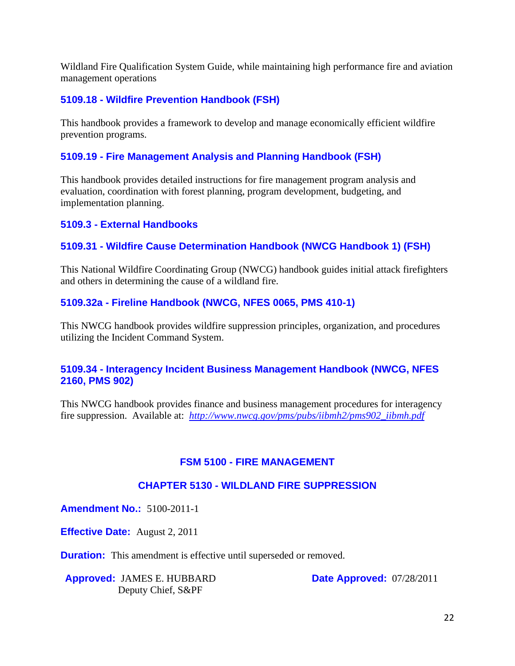Wildland Fire Qualification System Guide, while maintaining high performance fire and aviation management operations

### <span id="page-21-0"></span>**5109.18 - Wildfire Prevention Handbook (FSH)**

This handbook provides a framework to develop and manage economically efficient wildfire prevention programs.

# <span id="page-21-1"></span>**5109.19 - Fire Management Analysis and Planning Handbook (FSH)**

This handbook provides detailed instructions for fire management program analysis and evaluation, coordination with forest planning, program development, budgeting, and implementation planning.

### <span id="page-21-2"></span>**5109.3 - External Handbooks**

### <span id="page-21-3"></span>**5109.31 - Wildfire Cause Determination Handbook (NWCG Handbook 1) (FSH)**

This National Wildfire Coordinating Group (NWCG) handbook guides initial attack firefighters and others in determining the cause of a wildland fire.

### <span id="page-21-4"></span>**5109.32a - Fireline Handbook (NWCG, NFES 0065, PMS 410-1)**

This NWCG handbook provides wildfire suppression principles, organization, and procedures utilizing the Incident Command System.

### <span id="page-21-5"></span>**5109.34 - Interagency Incident Business Management Handbook (NWCG, NFES 2160, PMS 902)**

This NWCG handbook provides finance and business management procedures for interagency fire suppression. Available at:  $\frac{http://www.nwcg.gov/pms/pubs/iibmh2/pms902-iibmh.pdf}{http://www.nwcg.gov/pms/pubs/iibmh2/pms902-iibmh.pdf}$ 

### **FSM 5100 - FIRE MANAGEMENT**

### **CHAPTER 5130 - WILDLAND FIRE SUPPRESSION**

**Amendment No.:** 5100-2011-1

**Effective Date:** August 2, 2011

**Duration:** This amendment is effective until superseded or removed.

**Approved:** JAMES E. HUBBARD Deputy Chief, S&PF

**Date Approved:** 07/28/2011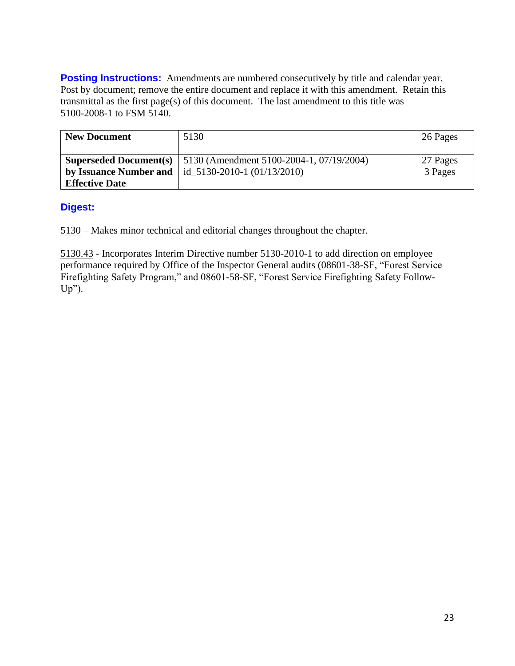**Posting Instructions:** Amendments are numbered consecutively by title and calendar year. Post by document; remove the entire document and replace it with this amendment. Retain this transmittal as the first page(s) of this document. The last amendment to this title was 5100-2008-1 to FSM 5140.

| <b>New Document</b>   | 5130                                                                                                                                            | 26 Pages            |
|-----------------------|-------------------------------------------------------------------------------------------------------------------------------------------------|---------------------|
|                       | <b>Superseded Document</b> (s)   $5130$ (Amendment $5100-2004-1$ , $07/19/2004$ )<br>by Issuance Number and $\vert$ id_5130-2010-1 (01/13/2010) | 27 Pages<br>3 Pages |
| <b>Effective Date</b> |                                                                                                                                                 |                     |

### **Digest:**

5130 – Makes minor technical and editorial changes throughout the chapter.

5130.43 - Incorporates Interim Directive number 5130-2010-1 to add direction on employee performance required by Office of the Inspector General audits (08601-38-SF, "Forest Service Firefighting Safety Program," and 08601-58-SF, "Forest Service Firefighting Safety Follow-Up").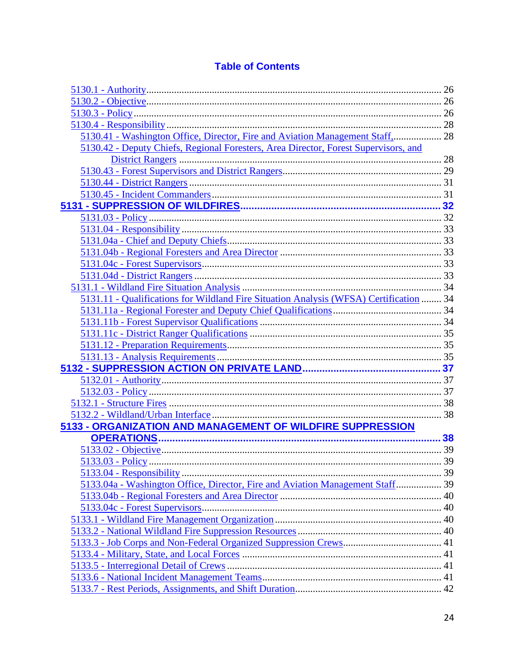# **Table of Contents**

| 5130.41 - Washington Office, Director, Fire and Aviation Management Staff, 28          |  |
|----------------------------------------------------------------------------------------|--|
| 5130.42 - Deputy Chiefs, Regional Foresters, Area Director, Forest Supervisors, and    |  |
|                                                                                        |  |
|                                                                                        |  |
|                                                                                        |  |
|                                                                                        |  |
|                                                                                        |  |
|                                                                                        |  |
|                                                                                        |  |
|                                                                                        |  |
|                                                                                        |  |
|                                                                                        |  |
|                                                                                        |  |
|                                                                                        |  |
| 5131.11 - Qualifications for Wildland Fire Situation Analysis (WFSA) Certification  34 |  |
|                                                                                        |  |
|                                                                                        |  |
|                                                                                        |  |
|                                                                                        |  |
|                                                                                        |  |
|                                                                                        |  |
|                                                                                        |  |
|                                                                                        |  |
|                                                                                        |  |
|                                                                                        |  |
| 5133 - ORGANIZATION AND MANAGEMENT OF WILDFIRE SUPPRESSION                             |  |
|                                                                                        |  |
|                                                                                        |  |
|                                                                                        |  |
|                                                                                        |  |
| 5133.04a - Washington Office, Director, Fire and Aviation Management Staff 39          |  |
|                                                                                        |  |
|                                                                                        |  |
|                                                                                        |  |
|                                                                                        |  |
|                                                                                        |  |
|                                                                                        |  |
|                                                                                        |  |
|                                                                                        |  |
|                                                                                        |  |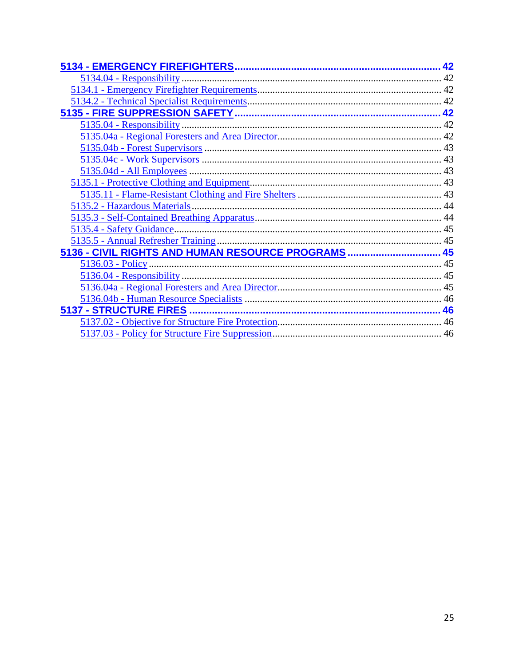|                                                     | 42 |
|-----------------------------------------------------|----|
|                                                     |    |
|                                                     |    |
|                                                     |    |
|                                                     |    |
|                                                     |    |
|                                                     |    |
|                                                     |    |
|                                                     |    |
|                                                     |    |
|                                                     |    |
|                                                     |    |
|                                                     |    |
|                                                     |    |
|                                                     |    |
|                                                     |    |
| 5136 - CIVIL RIGHTS AND HUMAN RESOURCE PROGRAMS  45 |    |
|                                                     |    |
|                                                     |    |
|                                                     |    |
|                                                     |    |
|                                                     |    |
|                                                     |    |
|                                                     |    |
|                                                     |    |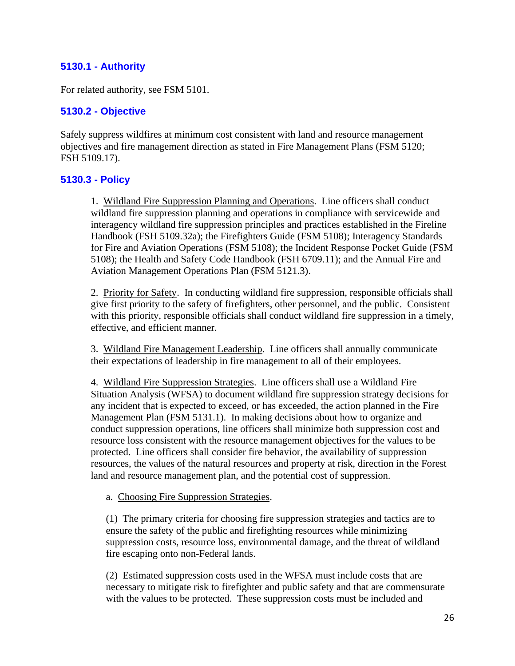### <span id="page-25-0"></span>**5130.1 - Authority**

For related authority, see FSM 5101.

### <span id="page-25-1"></span>**5130.2 - Objective**

Safely suppress wildfires at minimum cost consistent with land and resource management objectives and fire management direction as stated in Fire Management Plans (FSM 5120; FSH 5109.17).

### <span id="page-25-2"></span>**5130.3 - Policy**

1. Wildland Fire Suppression Planning and Operations. Line officers shall conduct wildland fire suppression planning and operations in compliance with servicewide and interagency wildland fire suppression principles and practices established in the Fireline Handbook (FSH 5109.32a); the Firefighters Guide (FSM 5108); Interagency Standards for Fire and Aviation Operations (FSM 5108); the Incident Response Pocket Guide (FSM 5108); the Health and Safety Code Handbook (FSH 6709.11); and the Annual Fire and Aviation Management Operations Plan (FSM 5121.3).

2. Priority for Safety. In conducting wildland fire suppression, responsible officials shall give first priority to the safety of firefighters, other personnel, and the public. Consistent with this priority, responsible officials shall conduct wildland fire suppression in a timely, effective, and efficient manner.

3. Wildland Fire Management Leadership. Line officers shall annually communicate their expectations of leadership in fire management to all of their employees.

4. Wildland Fire Suppression Strategies. Line officers shall use a Wildland Fire Situation Analysis (WFSA) to document wildland fire suppression strategy decisions for any incident that is expected to exceed, or has exceeded, the action planned in the Fire Management Plan (FSM 5131.1). In making decisions about how to organize and conduct suppression operations, line officers shall minimize both suppression cost and resource loss consistent with the resource management objectives for the values to be protected. Line officers shall consider fire behavior, the availability of suppression resources, the values of the natural resources and property at risk, direction in the Forest land and resource management plan, and the potential cost of suppression.

a. Choosing Fire Suppression Strategies.

(1) The primary criteria for choosing fire suppression strategies and tactics are to ensure the safety of the public and firefighting resources while minimizing suppression costs, resource loss, environmental damage, and the threat of wildland fire escaping onto non-Federal lands.

(2) Estimated suppression costs used in the WFSA must include costs that are necessary to mitigate risk to firefighter and public safety and that are commensurate with the values to be protected. These suppression costs must be included and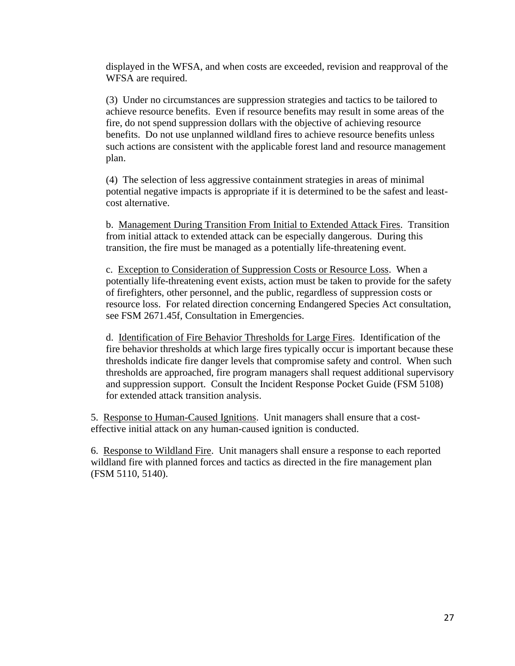displayed in the WFSA, and when costs are exceeded, revision and reapproval of the WFSA are required.

(3) Under no circumstances are suppression strategies and tactics to be tailored to achieve resource benefits. Even if resource benefits may result in some areas of the fire, do not spend suppression dollars with the objective of achieving resource benefits. Do not use unplanned wildland fires to achieve resource benefits unless such actions are consistent with the applicable forest land and resource management plan.

(4) The selection of less aggressive containment strategies in areas of minimal potential negative impacts is appropriate if it is determined to be the safest and leastcost alternative.

b. Management During Transition From Initial to Extended Attack Fires. Transition from initial attack to extended attack can be especially dangerous. During this transition, the fire must be managed as a potentially life-threatening event.

c. Exception to Consideration of Suppression Costs or Resource Loss. When a potentially life-threatening event exists, action must be taken to provide for the safety of firefighters, other personnel, and the public, regardless of suppression costs or resource loss. For related direction concerning Endangered Species Act consultation, see FSM 2671.45f, Consultation in Emergencies.

d. Identification of Fire Behavior Thresholds for Large Fires. Identification of the fire behavior thresholds at which large fires typically occur is important because these thresholds indicate fire danger levels that compromise safety and control. When such thresholds are approached, fire program managers shall request additional supervisory and suppression support. Consult the Incident Response Pocket Guide (FSM 5108) for extended attack transition analysis.

5. Response to Human-Caused Ignitions. Unit managers shall ensure that a costeffective initial attack on any human-caused ignition is conducted.

6. Response to Wildland Fire. Unit managers shall ensure a response to each reported wildland fire with planned forces and tactics as directed in the fire management plan (FSM 5110, 5140).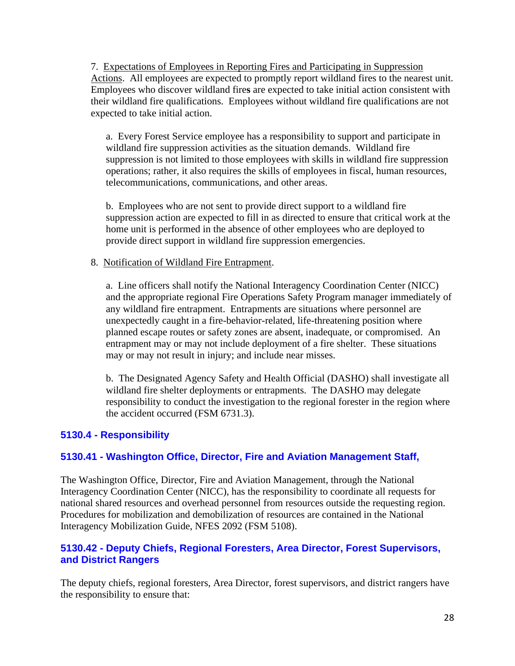7. Expectations of Employees in Reporting Fires and Participating in Suppression Actions. All employees are expected to promptly report wildland fires to the nearest unit. Employees who discover wildland fire**s** are expected to take initial action consistent with their wildland fire qualifications. Employees without wildland fire qualifications are not expected to take initial action.

a. Every Forest Service employee has a responsibility to support and participate in wildland fire suppression activities as the situation demands. Wildland fire suppression is not limited to those employees with skills in wildland fire suppression operations; rather, it also requires the skills of employees in fiscal, human resources, telecommunications, communications, and other areas.

b. Employees who are not sent to provide direct support to a wildland fire suppression action are expected to fill in as directed to ensure that critical work at the home unit is performed in the absence of other employees who are deployed to provide direct support in wildland fire suppression emergencies.

#### 8. Notification of Wildland Fire Entrapment.

a. Line officers shall notify the National Interagency Coordination Center (NICC) and the appropriate regional Fire Operations Safety Program manager immediately of any wildland fire entrapment. Entrapments are situations where personnel are unexpectedly caught in a fire-behavior-related, life-threatening position where planned escape routes or safety zones are absent, inadequate, or compromised. An entrapment may or may not include deployment of a fire shelter. These situations may or may not result in injury; and include near misses.

b. The Designated Agency Safety and Health Official (DASHO) shall investigate all wildland fire shelter deployments or entrapments. The DASHO may delegate responsibility to conduct the investigation to the regional forester in the region where the accident occurred (FSM 6731.3).

### <span id="page-27-0"></span>**5130.4 - Responsibility**

### <span id="page-27-1"></span>**5130.41 - Washington Office, Director, Fire and Aviation Management Staff,**

The Washington Office, Director, Fire and Aviation Management, through the National Interagency Coordination Center (NICC), has the responsibility to coordinate all requests for national shared resources and overhead personnel from resources outside the requesting region. Procedures for mobilization and demobilization of resources are contained in the National Interagency Mobilization Guide, NFES 2092 (FSM 5108).

### <span id="page-27-2"></span>**5130.42 - Deputy Chiefs, Regional Foresters, Area Director, Forest Supervisors, and District Rangers**

The deputy chiefs, regional foresters, Area Director, forest supervisors, and district rangers have the responsibility to ensure that: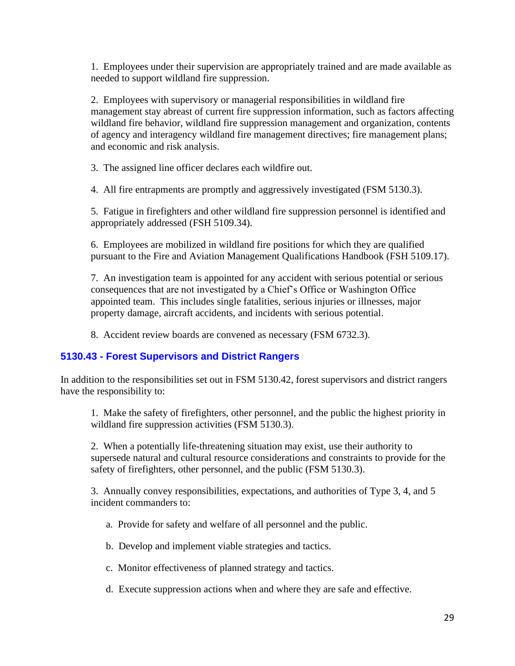1. Employees under their supervision are appropriately trained and are made available as needed to support wildland fire suppression.

2. Employees with supervisory or managerial responsibilities in wildland fire management stay abreast of current fire suppression information, such as factors affecting wildland fire behavior, wildland fire suppression management and organization, contents of agency and interagency wildland fire management directives; fire management plans; and economic and risk analysis.

3. The assigned line officer declares each wildfire out.

4. All fire entrapments are promptly and aggressively investigated (FSM 5130.3).

5. Fatigue in firefighters and other wildland fire suppression personnel is identified and appropriately addressed (FSH 5109.34).

6. Employees are mobilized in wildland fire positions for which they are qualified pursuant to the Fire and Aviation Management Qualifications Handbook (FSH 5109.17).

7. An investigation team is appointed for any accident with serious potential or serious consequences that are not investigated by a Chief's Office or Washington Office appointed team. This includes single fatalities, serious injuries or illnesses, major property damage, aircraft accidents, and incidents with serious potential.

8. Accident review boards are convened as necessary (FSM 6732.3).

### <span id="page-28-0"></span>**5130.43 - Forest Supervisors and District Rangers**

In addition to the responsibilities set out in FSM 5130.42, forest supervisors and district rangers have the responsibility to:

1. Make the safety of firefighters, other personnel, and the public the highest priority in wildland fire suppression activities (FSM 5130.3).

2. When a potentially life-threatening situation may exist, use their authority to supersede natural and cultural resource considerations and constraints to provide for the safety of firefighters, other personnel, and the public (FSM 5130.3).

3. Annually convey responsibilities, expectations, and authorities of Type 3, 4, and 5 incident commanders to:

- a. Provide for safety and welfare of all personnel and the public.
- b. Develop and implement viable strategies and tactics.
- c. Monitor effectiveness of planned strategy and tactics.
- d. Execute suppression actions when and where they are safe and effective.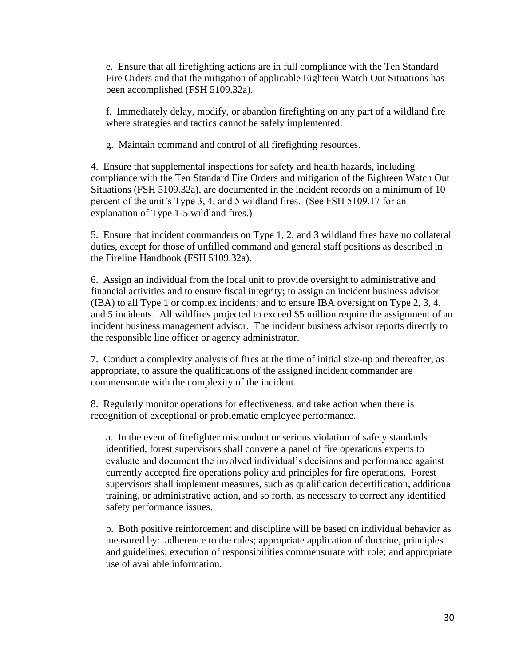e. Ensure that all firefighting actions are in full compliance with the Ten Standard Fire Orders and that the mitigation of applicable Eighteen Watch Out Situations has been accomplished (FSH 5109.32a).

f. Immediately delay, modify, or abandon firefighting on any part of a wildland fire where strategies and tactics cannot be safely implemented.

g. Maintain command and control of all firefighting resources.

4. Ensure that supplemental inspections for safety and health hazards, including compliance with the Ten Standard Fire Orders and mitigation of the Eighteen Watch Out Situations (FSH 5109.32a), are documented in the incident records on a minimum of 10 percent of the unit's Type 3, 4, and 5 wildland fires. (See FSH 5109.17 for an explanation of Type 1-5 wildland fires.)

5. Ensure that incident commanders on Type 1, 2, and 3 wildland fires have no collateral duties, except for those of unfilled command and general staff positions as described in the Fireline Handbook (FSH 5109.32a).

6. Assign an individual from the local unit to provide oversight to administrative and financial activities and to ensure fiscal integrity; to assign an incident business advisor (IBA) to all Type 1 or complex incidents; and to ensure IBA oversight on Type 2, 3, 4, and 5 incidents. All wildfires projected to exceed \$5 million require the assignment of an incident business management advisor. The incident business advisor reports directly to the responsible line officer or agency administrator.

7. Conduct a complexity analysis of fires at the time of initial size-up and thereafter, as appropriate, to assure the qualifications of the assigned incident commander are commensurate with the complexity of the incident.

8. Regularly monitor operations for effectiveness, and take action when there is recognition of exceptional or problematic employee performance.

a. In the event of firefighter misconduct or serious violation of safety standards identified, forest supervisors shall convene a panel of fire operations experts to evaluate and document the involved individual's decisions and performance against currently accepted fire operations policy and principles for fire operations. Forest supervisors shall implement measures, such as qualification decertification, additional training, or administrative action, and so forth, as necessary to correct any identified safety performance issues.

b. Both positive reinforcement and discipline will be based on individual behavior as measured by: adherence to the rules; appropriate application of doctrine, principles and guidelines; execution of responsibilities commensurate with role; and appropriate use of available information.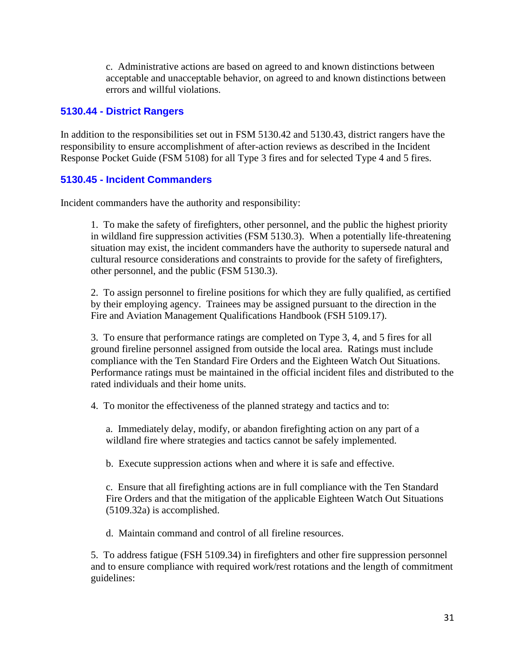c. Administrative actions are based on agreed to and known distinctions between acceptable and unacceptable behavior, on agreed to and known distinctions between errors and willful violations.

### <span id="page-30-0"></span>**5130.44 - District Rangers**

In addition to the responsibilities set out in FSM 5130.42 and 5130.43, district rangers have the responsibility to ensure accomplishment of after-action reviews as described in the Incident Response Pocket Guide (FSM 5108) for all Type 3 fires and for selected Type 4 and 5 fires.

### <span id="page-30-1"></span>**5130.45 - Incident Commanders**

Incident commanders have the authority and responsibility:

1. To make the safety of firefighters, other personnel, and the public the highest priority in wildland fire suppression activities (FSM 5130.3). When a potentially life-threatening situation may exist, the incident commanders have the authority to supersede natural and cultural resource considerations and constraints to provide for the safety of firefighters, other personnel, and the public (FSM 5130.3).

2. To assign personnel to fireline positions for which they are fully qualified, as certified by their employing agency. Trainees may be assigned pursuant to the direction in the Fire and Aviation Management Qualifications Handbook (FSH 5109.17).

3. To ensure that performance ratings are completed on Type 3, 4, and 5 fires for all ground fireline personnel assigned from outside the local area. Ratings must include compliance with the Ten Standard Fire Orders and the Eighteen Watch Out Situations. Performance ratings must be maintained in the official incident files and distributed to the rated individuals and their home units.

4. To monitor the effectiveness of the planned strategy and tactics and to:

a. Immediately delay, modify, or abandon firefighting action on any part of a wildland fire where strategies and tactics cannot be safely implemented.

b. Execute suppression actions when and where it is safe and effective.

c. Ensure that all firefighting actions are in full compliance with the Ten Standard Fire Orders and that the mitigation of the applicable Eighteen Watch Out Situations (5109.32a) is accomplished.

d. Maintain command and control of all fireline resources.

5. To address fatigue (FSH 5109.34) in firefighters and other fire suppression personnel and to ensure compliance with required work/rest rotations and the length of commitment guidelines: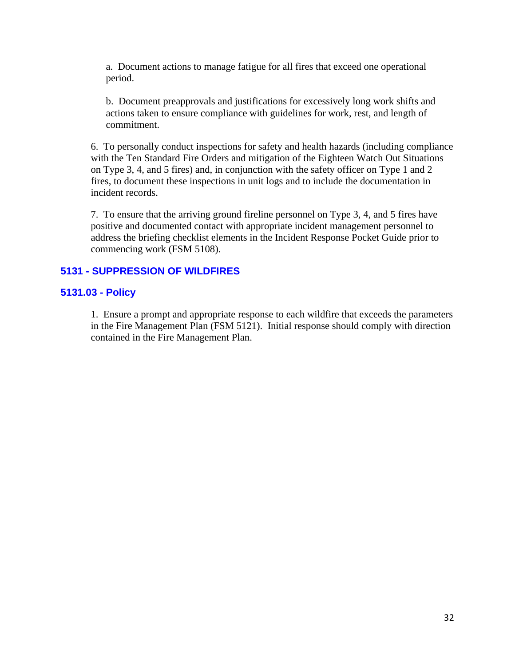a. Document actions to manage fatigue for all fires that exceed one operational period.

b. Document preapprovals and justifications for excessively long work shifts and actions taken to ensure compliance with guidelines for work, rest, and length of commitment.

6. To personally conduct inspections for safety and health hazards (including compliance with the Ten Standard Fire Orders and mitigation of the Eighteen Watch Out Situations on Type 3, 4, and 5 fires) and, in conjunction with the safety officer on Type 1 and 2 fires, to document these inspections in unit logs and to include the documentation in incident records.

7. To ensure that the arriving ground fireline personnel on Type 3, 4, and 5 fires have positive and documented contact with appropriate incident management personnel to address the briefing checklist elements in the Incident Response Pocket Guide prior to commencing work (FSM 5108).

### <span id="page-31-1"></span><span id="page-31-0"></span>**5131 - SUPPRESSION OF WILDFIRES**

#### **5131.03 - Policy**

1. Ensure a prompt and appropriate response to each wildfire that exceeds the parameters in the Fire Management Plan (FSM 5121). Initial response should comply with direction contained in the Fire Management Plan.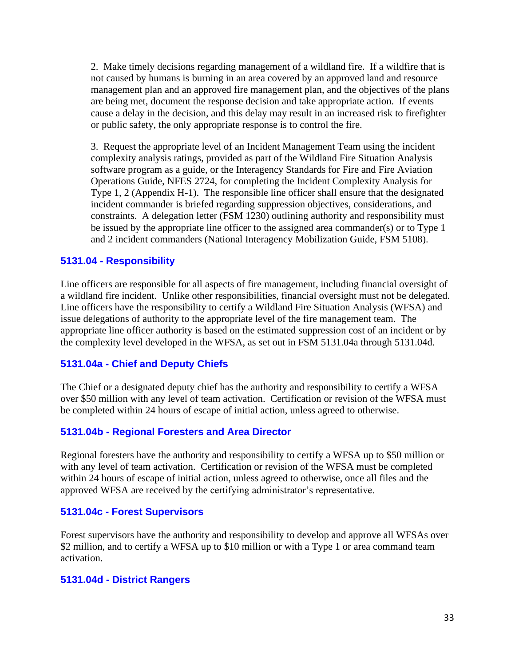2. Make timely decisions regarding management of a wildland fire. If a wildfire that is not caused by humans is burning in an area covered by an approved land and resource management plan and an approved fire management plan, and the objectives of the plans are being met, document the response decision and take appropriate action. If events cause a delay in the decision, and this delay may result in an increased risk to firefighter or public safety, the only appropriate response is to control the fire.

3. Request the appropriate level of an Incident Management Team using the incident complexity analysis ratings, provided as part of the Wildland Fire Situation Analysis software program as a guide, or the Interagency Standards for Fire and Fire Aviation Operations Guide, NFES 2724, for completing the Incident Complexity Analysis for Type 1, 2 (Appendix H-1). The responsible line officer shall ensure that the designated incident commander is briefed regarding suppression objectives, considerations, and constraints. A delegation letter (FSM 1230) outlining authority and responsibility must be issued by the appropriate line officer to the assigned area commander(s) or to Type 1 and 2 incident commanders (National Interagency Mobilization Guide, FSM 5108).

#### <span id="page-32-0"></span>**5131.04 - Responsibility**

Line officers are responsible for all aspects of fire management, including financial oversight of a wildland fire incident. Unlike other responsibilities, financial oversight must not be delegated. Line officers have the responsibility to certify a Wildland Fire Situation Analysis (WFSA) and issue delegations of authority to the appropriate level of the fire management team. The appropriate line officer authority is based on the estimated suppression cost of an incident or by the complexity level developed in the WFSA, as set out in FSM 5131.04a through 5131.04d.

#### <span id="page-32-1"></span>**5131.04a - Chief and Deputy Chiefs**

The Chief or a designated deputy chief has the authority and responsibility to certify a WFSA over \$50 million with any level of team activation. Certification or revision of the WFSA must be completed within 24 hours of escape of initial action, unless agreed to otherwise.

#### <span id="page-32-2"></span>**5131.04b - Regional Foresters and Area Director**

Regional foresters have the authority and responsibility to certify a WFSA up to \$50 million or with any level of team activation. Certification or revision of the WFSA must be completed within 24 hours of escape of initial action, unless agreed to otherwise, once all files and the approved WFSA are received by the certifying administrator's representative.

#### <span id="page-32-3"></span>**5131.04c - Forest Supervisors**

Forest supervisors have the authority and responsibility to develop and approve all WFSAs over \$2 million, and to certify a WFSA up to \$10 million or with a Type 1 or area command team activation.

#### <span id="page-32-4"></span>**5131.04d - District Rangers**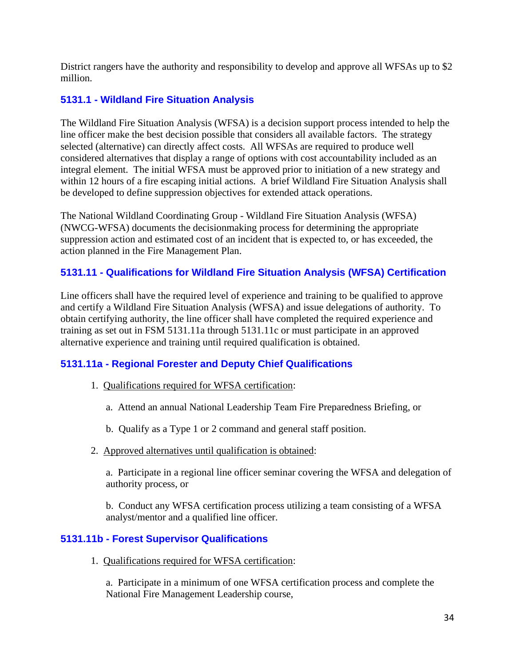District rangers have the authority and responsibility to develop and approve all WFSAs up to \$2 million.

### <span id="page-33-0"></span>**5131.1 - Wildland Fire Situation Analysis**

The Wildland Fire Situation Analysis (WFSA) is a decision support process intended to help the line officer make the best decision possible that considers all available factors. The strategy selected (alternative) can directly affect costs. All WFSAs are required to produce well considered alternatives that display a range of options with cost accountability included as an integral element. The initial WFSA must be approved prior to initiation of a new strategy and within 12 hours of a fire escaping initial actions. A brief Wildland Fire Situation Analysis shall be developed to define suppression objectives for extended attack operations.

The National Wildland Coordinating Group - Wildland Fire Situation Analysis (WFSA) (NWCG-WFSA) documents the decisionmaking process for determining the appropriate suppression action and estimated cost of an incident that is expected to, or has exceeded, the action planned in the Fire Management Plan.

### <span id="page-33-1"></span>**5131.11 - Qualifications for Wildland Fire Situation Analysis (WFSA) Certification**

Line officers shall have the required level of experience and training to be qualified to approve and certify a Wildland Fire Situation Analysis (WFSA) and issue delegations of authority. To obtain certifying authority, the line officer shall have completed the required experience and training as set out in FSM 5131.11a through 5131.11c or must participate in an approved alternative experience and training until required qualification is obtained.

### <span id="page-33-2"></span>**5131.11a - Regional Forester and Deputy Chief Qualifications**

- 1. Qualifications required for WFSA certification:
	- a. Attend an annual National Leadership Team Fire Preparedness Briefing, or
	- b. Qualify as a Type 1 or 2 command and general staff position.
- 2. Approved alternatives until qualification is obtained:

a. Participate in a regional line officer seminar covering the WFSA and delegation of authority process, or

b. Conduct any WFSA certification process utilizing a team consisting of a WFSA analyst/mentor and a qualified line officer.

### <span id="page-33-3"></span>**5131.11b - Forest Supervisor Qualifications**

1. Qualifications required for WFSA certification:

a. Participate in a minimum of one WFSA certification process and complete the National Fire Management Leadership course,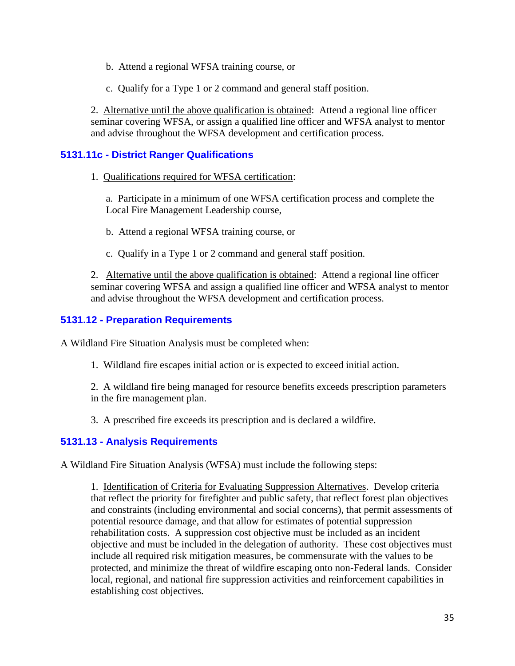- b. Attend a regional WFSA training course, or
- c. Qualify for a Type 1 or 2 command and general staff position.

2. Alternative until the above qualification is obtained: Attend a regional line officer seminar covering WFSA, or assign a qualified line officer and WFSA analyst to mentor and advise throughout the WFSA development and certification process.

### <span id="page-34-0"></span>**5131.11c - District Ranger Qualifications**

1. Qualifications required for WFSA certification:

a. Participate in a minimum of one WFSA certification process and complete the Local Fire Management Leadership course,

- b. Attend a regional WFSA training course, or
- c. Qualify in a Type 1 or 2 command and general staff position.

2. Alternative until the above qualification is obtained: Attend a regional line officer seminar covering WFSA and assign a qualified line officer and WFSA analyst to mentor and advise throughout the WFSA development and certification process.

### <span id="page-34-1"></span>**5131.12 - Preparation Requirements**

A Wildland Fire Situation Analysis must be completed when:

- 1. Wildland fire escapes initial action or is expected to exceed initial action.
- 2. A wildland fire being managed for resource benefits exceeds prescription parameters in the fire management plan.

3. A prescribed fire exceeds its prescription and is declared a wildfire.

### <span id="page-34-2"></span>**5131.13 - Analysis Requirements**

A Wildland Fire Situation Analysis (WFSA) must include the following steps:

1. Identification of Criteria for Evaluating Suppression Alternatives. Develop criteria that reflect the priority for firefighter and public safety, that reflect forest plan objectives and constraints (including environmental and social concerns), that permit assessments of potential resource damage, and that allow for estimates of potential suppression rehabilitation costs. A suppression cost objective must be included as an incident objective and must be included in the delegation of authority. These cost objectives must include all required risk mitigation measures, be commensurate with the values to be protected, and minimize the threat of wildfire escaping onto non-Federal lands. Consider local, regional, and national fire suppression activities and reinforcement capabilities in establishing cost objectives.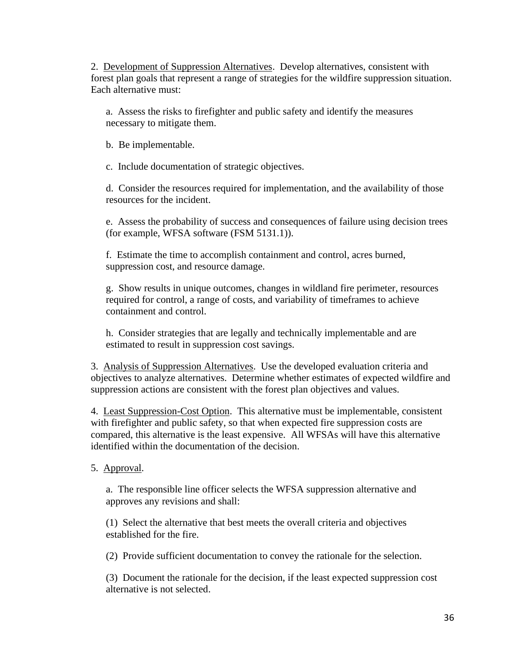2. Development of Suppression Alternatives. Develop alternatives, consistent with forest plan goals that represent a range of strategies for the wildfire suppression situation. Each alternative must:

a. Assess the risks to firefighter and public safety and identify the measures necessary to mitigate them.

b. Be implementable.

c. Include documentation of strategic objectives.

d. Consider the resources required for implementation, and the availability of those resources for the incident.

e. Assess the probability of success and consequences of failure using decision trees (for example, WFSA software (FSM 5131.1)).

f. Estimate the time to accomplish containment and control, acres burned, suppression cost, and resource damage.

g. Show results in unique outcomes, changes in wildland fire perimeter, resources required for control, a range of costs, and variability of timeframes to achieve containment and control.

h. Consider strategies that are legally and technically implementable and are estimated to result in suppression cost savings.

3. Analysis of Suppression Alternatives. Use the developed evaluation criteria and objectives to analyze alternatives. Determine whether estimates of expected wildfire and suppression actions are consistent with the forest plan objectives and values.

4. Least Suppression-Cost Option. This alternative must be implementable, consistent with firefighter and public safety, so that when expected fire suppression costs are compared, this alternative is the least expensive. All WFSAs will have this alternative identified within the documentation of the decision.

5. Approval.

a. The responsible line officer selects the WFSA suppression alternative and approves any revisions and shall:

(1) Select the alternative that best meets the overall criteria and objectives established for the fire.

(2) Provide sufficient documentation to convey the rationale for the selection.

(3) Document the rationale for the decision, if the least expected suppression cost alternative is not selected.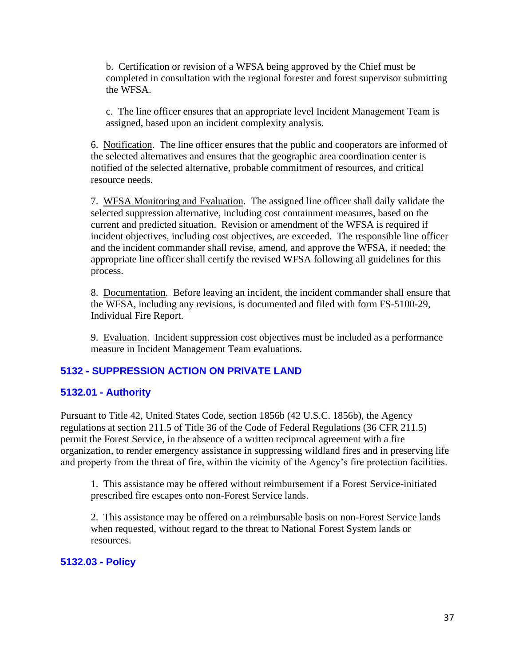b. Certification or revision of a WFSA being approved by the Chief must be completed in consultation with the regional forester and forest supervisor submitting the WFSA.

c. The line officer ensures that an appropriate level Incident Management Team is assigned, based upon an incident complexity analysis.

6. Notification. The line officer ensures that the public and cooperators are informed of the selected alternatives and ensures that the geographic area coordination center is notified of the selected alternative, probable commitment of resources, and critical resource needs.

7. WFSA Monitoring and Evaluation. The assigned line officer shall daily validate the selected suppression alternative, including cost containment measures, based on the current and predicted situation. Revision or amendment of the WFSA is required if incident objectives, including cost objectives, are exceeded. The responsible line officer and the incident commander shall revise, amend, and approve the WFSA, if needed; the appropriate line officer shall certify the revised WFSA following all guidelines for this process.

8. Documentation. Before leaving an incident, the incident commander shall ensure that the WFSA, including any revisions, is documented and filed with form FS-5100-29, Individual Fire Report.

9. Evaluation. Incident suppression cost objectives must be included as a performance measure in Incident Management Team evaluations.

### <span id="page-36-1"></span><span id="page-36-0"></span>**5132 - SUPPRESSION ACTION ON PRIVATE LAND**

#### **5132.01 - Authority**

Pursuant to Title 42, United States Code, section 1856b (42 U.S.C. 1856b), the Agency regulations at section 211.5 of Title 36 of the Code of Federal Regulations (36 CFR 211.5) permit the Forest Service, in the absence of a written reciprocal agreement with a fire organization, to render emergency assistance in suppressing wildland fires and in preserving life and property from the threat of fire, within the vicinity of the Agency's fire protection facilities.

1. This assistance may be offered without reimbursement if a Forest Service-initiated prescribed fire escapes onto non-Forest Service lands.

2. This assistance may be offered on a reimbursable basis on non-Forest Service lands when requested, without regard to the threat to National Forest System lands or resources.

#### <span id="page-36-2"></span>**5132.03 - Policy**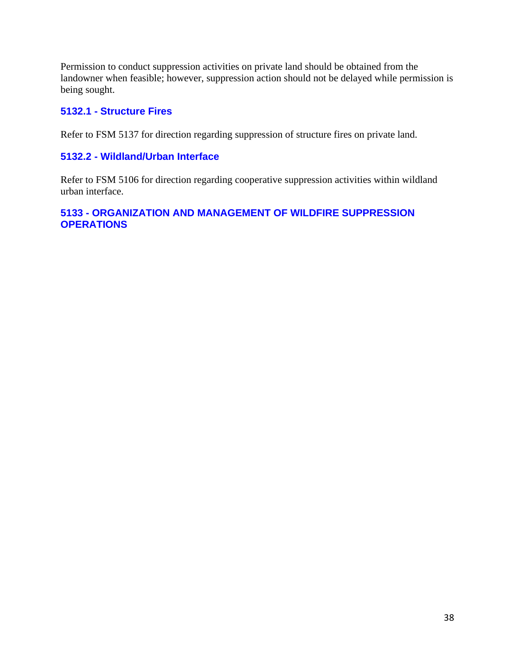Permission to conduct suppression activities on private land should be obtained from the landowner when feasible; however, suppression action should not be delayed while permission is being sought.

### <span id="page-37-0"></span>**5132.1 - Structure Fires**

Refer to FSM 5137 for direction regarding suppression of structure fires on private land.

### <span id="page-37-1"></span>**5132.2 - Wildland/Urban Interface**

Refer to FSM 5106 for direction regarding cooperative suppression activities within wildland urban interface.

# <span id="page-37-2"></span>**5133 - ORGANIZATION AND MANAGEMENT OF WILDFIRE SUPPRESSION OPERATIONS**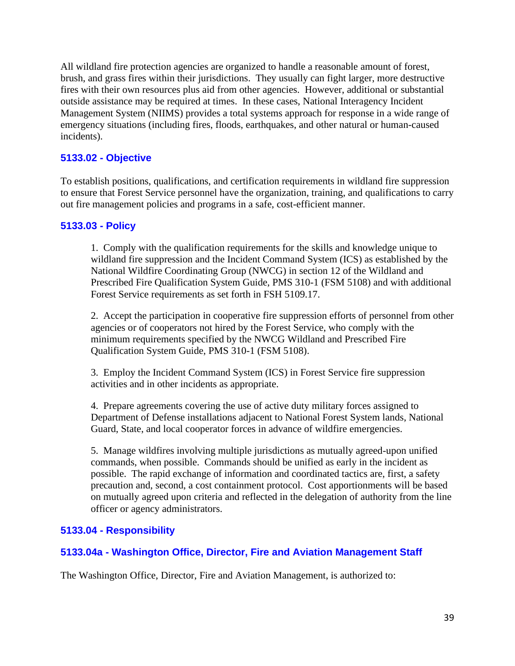All wildland fire protection agencies are organized to handle a reasonable amount of forest, brush, and grass fires within their jurisdictions. They usually can fight larger, more destructive fires with their own resources plus aid from other agencies. However, additional or substantial outside assistance may be required at times. In these cases, National Interagency Incident Management System (NIIMS) provides a total systems approach for response in a wide range of emergency situations (including fires, floods, earthquakes, and other natural or human-caused incidents).

# <span id="page-38-0"></span>**5133.02 - Objective**

To establish positions, qualifications, and certification requirements in wildland fire suppression to ensure that Forest Service personnel have the organization, training, and qualifications to carry out fire management policies and programs in a safe, cost-efficient manner.

### <span id="page-38-1"></span>**5133.03 - Policy**

1. Comply with the qualification requirements for the skills and knowledge unique to wildland fire suppression and the Incident Command System (ICS) as established by the National Wildfire Coordinating Group (NWCG) in section 12 of the Wildland and Prescribed Fire Qualification System Guide, PMS 310-1 (FSM 5108) and with additional Forest Service requirements as set forth in FSH 5109.17.

2. Accept the participation in cooperative fire suppression efforts of personnel from other agencies or of cooperators not hired by the Forest Service, who comply with the minimum requirements specified by the NWCG Wildland and Prescribed Fire Qualification System Guide, PMS 310-1 (FSM 5108).

3. Employ the Incident Command System (ICS) in Forest Service fire suppression activities and in other incidents as appropriate.

4. Prepare agreements covering the use of active duty military forces assigned to Department of Defense installations adjacent to National Forest System lands, National Guard, State, and local cooperator forces in advance of wildfire emergencies.

5. Manage wildfires involving multiple jurisdictions as mutually agreed-upon unified commands, when possible. Commands should be unified as early in the incident as possible. The rapid exchange of information and coordinated tactics are, first, a safety precaution and, second, a cost containment protocol. Cost apportionments will be based on mutually agreed upon criteria and reflected in the delegation of authority from the line officer or agency administrators.

### <span id="page-38-2"></span>**5133.04 - Responsibility**

### <span id="page-38-3"></span>**5133.04a - Washington Office, Director, Fire and Aviation Management Staff**

The Washington Office, Director, Fire and Aviation Management, is authorized to: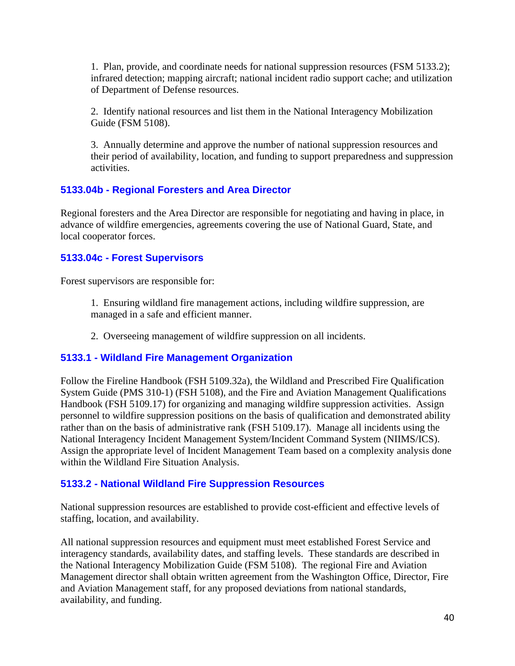1. Plan, provide, and coordinate needs for national suppression resources (FSM 5133.2); infrared detection; mapping aircraft; national incident radio support cache; and utilization of Department of Defense resources.

2. Identify national resources and list them in the National Interagency Mobilization Guide (FSM 5108).

3. Annually determine and approve the number of national suppression resources and their period of availability, location, and funding to support preparedness and suppression activities.

### <span id="page-39-0"></span>**5133.04b - Regional Foresters and Area Director**

Regional foresters and the Area Director are responsible for negotiating and having in place, in advance of wildfire emergencies, agreements covering the use of National Guard, State, and local cooperator forces.

### <span id="page-39-1"></span>**5133.04c - Forest Supervisors**

Forest supervisors are responsible for:

1. Ensuring wildland fire management actions, including wildfire suppression, are managed in a safe and efficient manner.

2. Overseeing management of wildfire suppression on all incidents.

### <span id="page-39-2"></span>**5133.1 - Wildland Fire Management Organization**

Follow the Fireline Handbook (FSH 5109.32a), the Wildland and Prescribed Fire Qualification System Guide (PMS 310-1) (FSH 5108), and the Fire and Aviation Management Qualifications Handbook (FSH 5109.17) for organizing and managing wildfire suppression activities. Assign personnel to wildfire suppression positions on the basis of qualification and demonstrated ability rather than on the basis of administrative rank (FSH 5109.17). Manage all incidents using the National Interagency Incident Management System/Incident Command System (NIIMS/ICS). Assign the appropriate level of Incident Management Team based on a complexity analysis done within the Wildland Fire Situation Analysis.

### <span id="page-39-3"></span>**5133.2 - National Wildland Fire Suppression Resources**

National suppression resources are established to provide cost-efficient and effective levels of staffing, location, and availability.

All national suppression resources and equipment must meet established Forest Service and interagency standards, availability dates, and staffing levels. These standards are described in the National Interagency Mobilization Guide (FSM 5108). The regional Fire and Aviation Management director shall obtain written agreement from the Washington Office, Director, Fire and Aviation Management staff, for any proposed deviations from national standards, availability, and funding.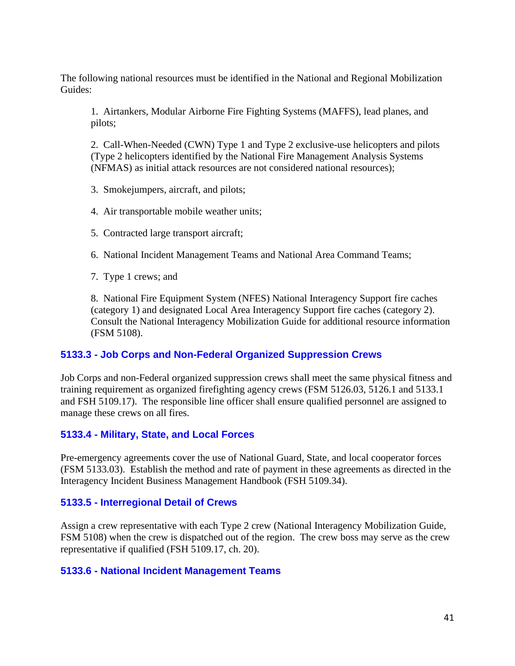The following national resources must be identified in the National and Regional Mobilization Guides:

1. Airtankers, Modular Airborne Fire Fighting Systems (MAFFS), lead planes, and pilots;

2. Call-When-Needed (CWN) Type 1 and Type 2 exclusive-use helicopters and pilots (Type 2 helicopters identified by the National Fire Management Analysis Systems (NFMAS) as initial attack resources are not considered national resources);

3. Smokejumpers, aircraft, and pilots;

4. Air transportable mobile weather units;

5. Contracted large transport aircraft;

6. National Incident Management Teams and National Area Command Teams;

7. Type 1 crews; and

8. National Fire Equipment System (NFES) National Interagency Support fire caches (category 1) and designated Local Area Interagency Support fire caches (category 2). Consult the National Interagency Mobilization Guide for additional resource information (FSM 5108).

### <span id="page-40-0"></span>**5133.3 - Job Corps and Non-Federal Organized Suppression Crews**

Job Corps and non-Federal organized suppression crews shall meet the same physical fitness and training requirement as organized firefighting agency crews (FSM 5126.03, 5126.1 and 5133.1 and FSH 5109.17). The responsible line officer shall ensure qualified personnel are assigned to manage these crews on all fires.

### <span id="page-40-1"></span>**5133.4 - Military, State, and Local Forces**

Pre-emergency agreements cover the use of National Guard, State, and local cooperator forces (FSM 5133.03). Establish the method and rate of payment in these agreements as directed in the Interagency Incident Business Management Handbook (FSH 5109.34).

### <span id="page-40-2"></span>**5133.5 - Interregional Detail of Crews**

Assign a crew representative with each Type 2 crew (National Interagency Mobilization Guide, FSM 5108) when the crew is dispatched out of the region. The crew boss may serve as the crew representative if qualified (FSH 5109.17, ch. 20).

### <span id="page-40-3"></span>**5133.6 - National Incident Management Teams**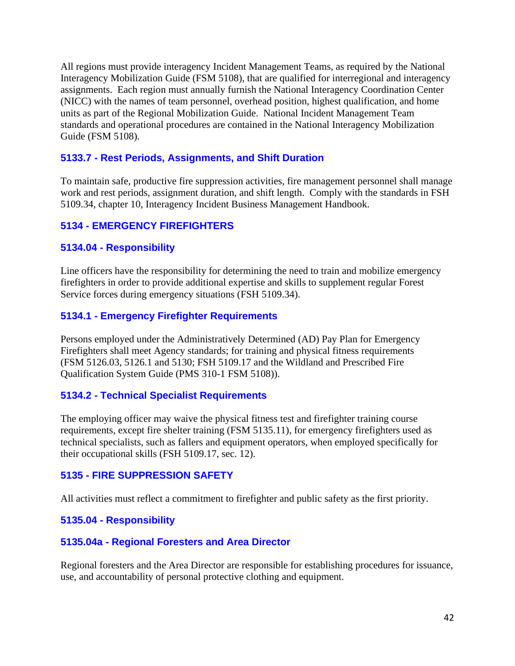All regions must provide interagency Incident Management Teams, as required by the National Interagency Mobilization Guide (FSM 5108), that are qualified for interregional and interagency assignments. Each region must annually furnish the National Interagency Coordination Center (NICC) with the names of team personnel, overhead position, highest qualification, and home units as part of the Regional Mobilization Guide. National Incident Management Team standards and operational procedures are contained in the National Interagency Mobilization Guide (FSM 5108).

### <span id="page-41-0"></span>**5133.7 - Rest Periods, Assignments, and Shift Duration**

To maintain safe, productive fire suppression activities, fire management personnel shall manage work and rest periods, assignment duration, and shift length. Comply with the standards in FSH 5109.34, chapter 10, Interagency Incident Business Management Handbook.

### <span id="page-41-1"></span>**5134 - EMERGENCY FIREFIGHTERS**

### <span id="page-41-2"></span>**5134.04 - Responsibility**

Line officers have the responsibility for determining the need to train and mobilize emergency firefighters in order to provide additional expertise and skills to supplement regular Forest Service forces during emergency situations (FSH 5109.34).

### <span id="page-41-3"></span>**5134.1 - Emergency Firefighter Requirements**

Persons employed under the Administratively Determined (AD) Pay Plan for Emergency Firefighters shall meet Agency standards; for training and physical fitness requirements (FSM 5126.03, 5126.1 and 5130; FSH 5109.17 and the Wildland and Prescribed Fire Qualification System Guide (PMS 310-1 FSM 5108)).

### <span id="page-41-4"></span>**5134.2 - Technical Specialist Requirements**

The employing officer may waive the physical fitness test and firefighter training course requirements, except fire shelter training (FSM 5135.11), for emergency firefighters used as technical specialists, such as fallers and equipment operators, when employed specifically for their occupational skills (FSH 5109.17, sec. 12).

### <span id="page-41-5"></span>**5135 - FIRE SUPPRESSION SAFETY**

All activities must reflect a commitment to firefighter and public safety as the first priority.

### <span id="page-41-6"></span>**5135.04 - Responsibility**

#### <span id="page-41-7"></span>**5135.04a - Regional Foresters and Area Director**

Regional foresters and the Area Director are responsible for establishing procedures for issuance, use, and accountability of personal protective clothing and equipment.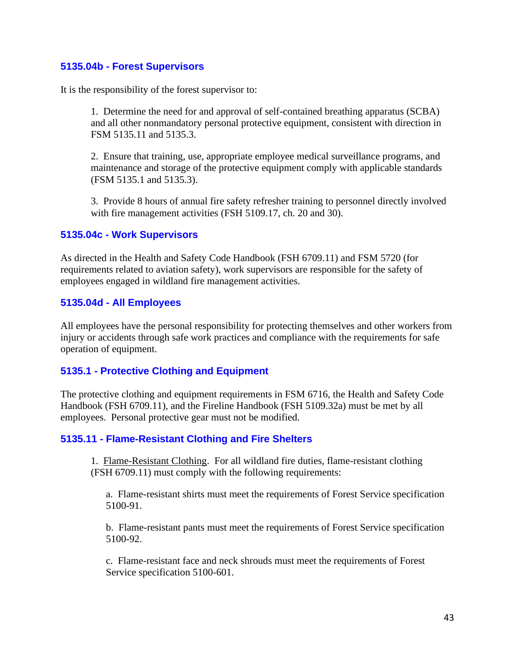### <span id="page-42-0"></span>**5135.04b - Forest Supervisors**

It is the responsibility of the forest supervisor to:

1. Determine the need for and approval of self-contained breathing apparatus (SCBA) and all other nonmandatory personal protective equipment, consistent with direction in FSM 5135.11 and 5135.3.

2. Ensure that training, use, appropriate employee medical surveillance programs, and maintenance and storage of the protective equipment comply with applicable standards (FSM 5135.1 and 5135.3).

3. Provide 8 hours of annual fire safety refresher training to personnel directly involved with fire management activities (FSH 5109.17, ch. 20 and 30).

#### <span id="page-42-1"></span>**5135.04c - Work Supervisors**

As directed in the Health and Safety Code Handbook (FSH 6709.11) and FSM 5720 (for requirements related to aviation safety), work supervisors are responsible for the safety of employees engaged in wildland fire management activities.

#### <span id="page-42-2"></span>**5135.04d - All Employees**

All employees have the personal responsibility for protecting themselves and other workers from injury or accidents through safe work practices and compliance with the requirements for safe operation of equipment.

#### <span id="page-42-3"></span>**5135.1 - Protective Clothing and Equipment**

The protective clothing and equipment requirements in FSM 6716, the Health and Safety Code Handbook (FSH 6709.11), and the Fireline Handbook (FSH 5109.32a) must be met by all employees. Personal protective gear must not be modified.

#### <span id="page-42-4"></span>**5135.11 - Flame-Resistant Clothing and Fire Shelters**

1. Flame-Resistant Clothing. For all wildland fire duties, flame-resistant clothing (FSH 6709.11) must comply with the following requirements:

a. Flame-resistant shirts must meet the requirements of Forest Service specification 5100-91.

b. Flame-resistant pants must meet the requirements of Forest Service specification 5100-92.

c. Flame-resistant face and neck shrouds must meet the requirements of Forest Service specification 5100-601.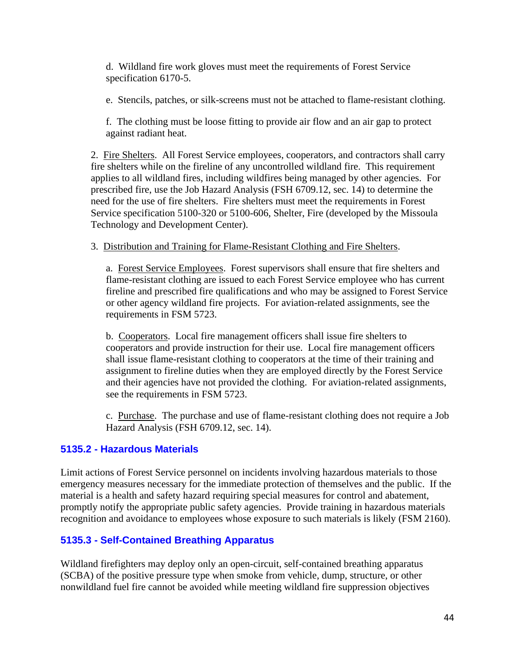d. Wildland fire work gloves must meet the requirements of Forest Service specification 6170-5.

e. Stencils, patches, or silk-screens must not be attached to flame-resistant clothing.

f. The clothing must be loose fitting to provide air flow and an air gap to protect against radiant heat.

2. Fire Shelters. All Forest Service employees, cooperators, and contractors shall carry fire shelters while on the fireline of any uncontrolled wildland fire. This requirement applies to all wildland fires, including wildfires being managed by other agencies. For prescribed fire, use the Job Hazard Analysis (FSH 6709.12, sec. 14) to determine the need for the use of fire shelters. Fire shelters must meet the requirements in Forest Service specification 5100-320 or 5100-606, Shelter, Fire (developed by the Missoula Technology and Development Center).

3. Distribution and Training for Flame-Resistant Clothing and Fire Shelters.

a. Forest Service Employees. Forest supervisors shall ensure that fire shelters and flame-resistant clothing are issued to each Forest Service employee who has current fireline and prescribed fire qualifications and who may be assigned to Forest Service or other agency wildland fire projects. For aviation-related assignments, see the requirements in FSM 5723.

b. Cooperators. Local fire management officers shall issue fire shelters to cooperators and provide instruction for their use. Local fire management officers shall issue flame-resistant clothing to cooperators at the time of their training and assignment to fireline duties when they are employed directly by the Forest Service and their agencies have not provided the clothing. For aviation-related assignments, see the requirements in FSM 5723.

c. Purchase. The purchase and use of flame-resistant clothing does not require a Job Hazard Analysis (FSH 6709.12, sec. 14).

### <span id="page-43-0"></span>**5135.2 - Hazardous Materials**

Limit actions of Forest Service personnel on incidents involving hazardous materials to those emergency measures necessary for the immediate protection of themselves and the public. If the material is a health and safety hazard requiring special measures for control and abatement, promptly notify the appropriate public safety agencies. Provide training in hazardous materials recognition and avoidance to employees whose exposure to such materials is likely (FSM 2160).

### <span id="page-43-1"></span>**5135.3 - Self-Contained Breathing Apparatus**

Wildland firefighters may deploy only an open-circuit, self-contained breathing apparatus (SCBA) of the positive pressure type when smoke from vehicle, dump, structure, or other nonwildland fuel fire cannot be avoided while meeting wildland fire suppression objectives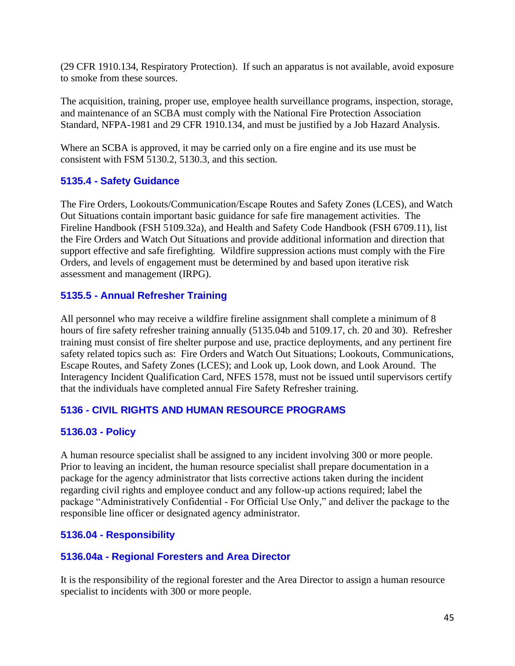(29 CFR 1910.134, Respiratory Protection). If such an apparatus is not available, avoid exposure to smoke from these sources.

The acquisition, training, proper use, employee health surveillance programs, inspection, storage, and maintenance of an SCBA must comply with the National Fire Protection Association Standard, NFPA-1981 and 29 CFR 1910.134, and must be justified by a Job Hazard Analysis.

Where an SCBA is approved, it may be carried only on a fire engine and its use must be consistent with FSM 5130.2, 5130.3, and this section.

### <span id="page-44-0"></span>**5135.4 - Safety Guidance**

The Fire Orders, Lookouts/Communication/Escape Routes and Safety Zones (LCES), and Watch Out Situations contain important basic guidance for safe fire management activities. The Fireline Handbook (FSH 5109.32a), and Health and Safety Code Handbook (FSH 6709.11), list the Fire Orders and Watch Out Situations and provide additional information and direction that support effective and safe firefighting. Wildfire suppression actions must comply with the Fire Orders, and levels of engagement must be determined by and based upon iterative risk assessment and management (IRPG).

### <span id="page-44-1"></span>**5135.5 - Annual Refresher Training**

All personnel who may receive a wildfire fireline assignment shall complete a minimum of 8 hours of fire safety refresher training annually (5135.04b and 5109.17, ch. 20 and 30). Refresher training must consist of fire shelter purpose and use, practice deployments, and any pertinent fire safety related topics such as: Fire Orders and Watch Out Situations; Lookouts, Communications, Escape Routes, and Safety Zones (LCES); and Look up, Look down, and Look Around. The Interagency Incident Qualification Card, NFES 1578, must not be issued until supervisors certify that the individuals have completed annual Fire Safety Refresher training.

### <span id="page-44-2"></span>**5136 - CIVIL RIGHTS AND HUMAN RESOURCE PROGRAMS**

### <span id="page-44-3"></span>**5136.03 - Policy**

A human resource specialist shall be assigned to any incident involving 300 or more people. Prior to leaving an incident, the human resource specialist shall prepare documentation in a package for the agency administrator that lists corrective actions taken during the incident regarding civil rights and employee conduct and any follow-up actions required; label the package "Administratively Confidential - For Official Use Only," and deliver the package to the responsible line officer or designated agency administrator.

### <span id="page-44-5"></span><span id="page-44-4"></span>**5136.04 - Responsibility**

### **5136.04a - Regional Foresters and Area Director**

It is the responsibility of the regional forester and the Area Director to assign a human resource specialist to incidents with 300 or more people.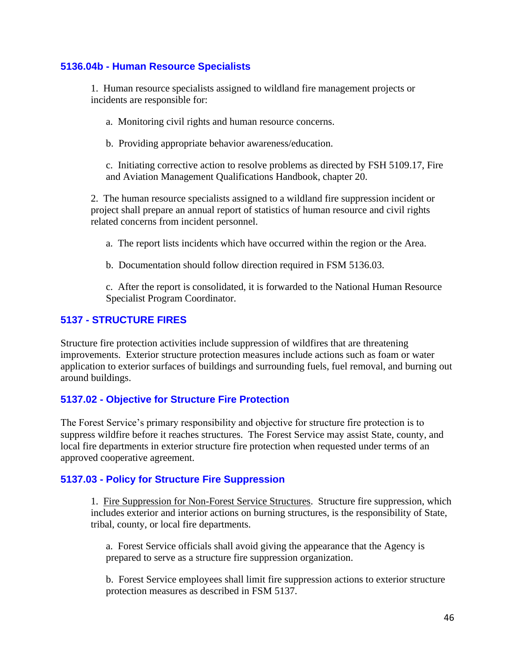### <span id="page-45-0"></span>**5136.04b - Human Resource Specialists**

1. Human resource specialists assigned to wildland fire management projects or incidents are responsible for:

a. Monitoring civil rights and human resource concerns.

b. Providing appropriate behavior awareness/education.

c. Initiating corrective action to resolve problems as directed by FSH 5109.17, Fire and Aviation Management Qualifications Handbook, chapter 20.

2. The human resource specialists assigned to a wildland fire suppression incident or project shall prepare an annual report of statistics of human resource and civil rights related concerns from incident personnel.

a. The report lists incidents which have occurred within the region or the Area.

b. Documentation should follow direction required in FSM 5136.03.

c. After the report is consolidated, it is forwarded to the National Human Resource Specialist Program Coordinator.

### <span id="page-45-1"></span>**5137 - STRUCTURE FIRES**

Structure fire protection activities include suppression of wildfires that are threatening improvements. Exterior structure protection measures include actions such as foam or water application to exterior surfaces of buildings and surrounding fuels, fuel removal, and burning out around buildings.

### <span id="page-45-2"></span>**5137.02 - Objective for Structure Fire Protection**

The Forest Service's primary responsibility and objective for structure fire protection is to suppress wildfire before it reaches structures. The Forest Service may assist State, county, and local fire departments in exterior structure fire protection when requested under terms of an approved cooperative agreement.

### <span id="page-45-3"></span>**5137.03 - Policy for Structure Fire Suppression**

1. Fire Suppression for Non-Forest Service Structures. Structure fire suppression, which includes exterior and interior actions on burning structures, is the responsibility of State, tribal, county, or local fire departments.

a. Forest Service officials shall avoid giving the appearance that the Agency is prepared to serve as a structure fire suppression organization.

b. Forest Service employees shall limit fire suppression actions to exterior structure protection measures as described in FSM 5137.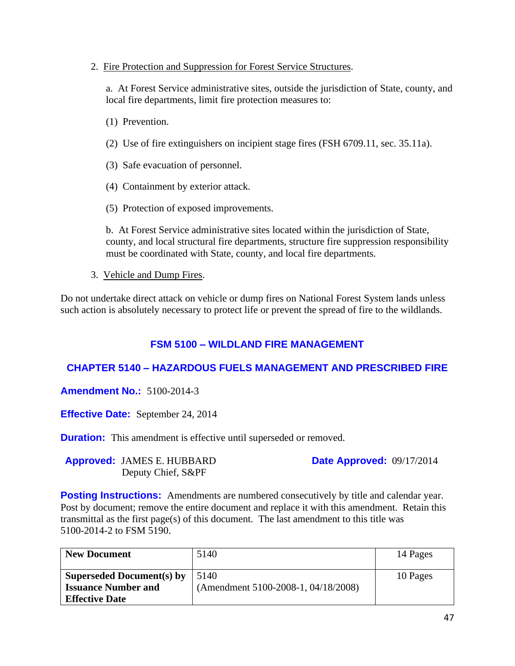#### 2. Fire Protection and Suppression for Forest Service Structures.

a. At Forest Service administrative sites, outside the jurisdiction of State, county, and local fire departments, limit fire protection measures to:

- (1) Prevention.
- (2) Use of fire extinguishers on incipient stage fires (FSH 6709.11, sec. 35.11a).
- (3) Safe evacuation of personnel.
- (4) Containment by exterior attack.
- (5) Protection of exposed improvements.

b. At Forest Service administrative sites located within the jurisdiction of State, county, and local structural fire departments, structure fire suppression responsibility must be coordinated with State, county, and local fire departments.

3. Vehicle and Dump Fires.

Do not undertake direct attack on vehicle or dump fires on National Forest System lands unless such action is absolutely necessary to protect life or prevent the spread of fire to the wildlands.

### **FSM 5100 – WILDLAND FIRE MANAGEMENT**

### **CHAPTER 5140 – HAZARDOUS FUELS MANAGEMENT AND PRESCRIBED FIRE**

**Amendment No.:** 5100-2014-3

**Effective Date:** September 24, 2014

**Duration:** This amendment is effective until superseded or removed.

**Approved:** JAMES E. HUBBARD Deputy Chief, S&PF

**Date Approved:** 09/17/2014

**Posting Instructions:** Amendments are numbered consecutively by title and calendar year. Post by document; remove the entire document and replace it with this amendment. Retain this transmittal as the first page(s) of this document. The last amendment to this title was 5100-2014-2 to FSM 5190.

| <b>New Document</b>                                                                     | 5140                                        | 14 Pages |
|-----------------------------------------------------------------------------------------|---------------------------------------------|----------|
| <b>Superseded Document(s) by</b><br><b>Issuance Number and</b><br><b>Effective Date</b> | 5140<br>(Amendment 5100-2008-1, 04/18/2008) | 10 Pages |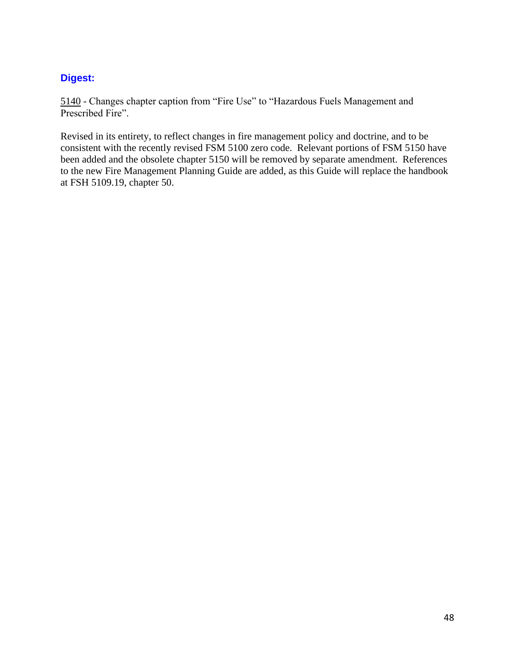# **Digest:**

5140 - Changes chapter caption from "Fire Use" to "Hazardous Fuels Management and Prescribed Fire".

Revised in its entirety, to reflect changes in fire management policy and doctrine, and to be consistent with the recently revised FSM 5100 zero code. Relevant portions of FSM 5150 have been added and the obsolete chapter 5150 will be removed by separate amendment. References to the new Fire Management Planning Guide are added, as this Guide will replace the handbook at FSH 5109.19, chapter 50.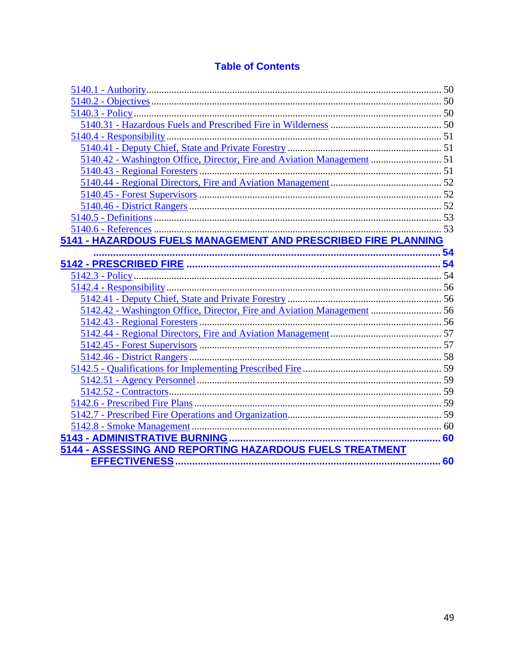# **Table of Contents**

| 5140.42 - Washington Office, Director, Fire and Aviation Management  51 |  |
|-------------------------------------------------------------------------|--|
|                                                                         |  |
|                                                                         |  |
|                                                                         |  |
|                                                                         |  |
|                                                                         |  |
|                                                                         |  |
| 5141 - HAZARDOUS FUELS MANAGEMENT AND PRESCRIBED FIRE PLANNING          |  |
|                                                                         |  |
|                                                                         |  |
|                                                                         |  |
|                                                                         |  |
|                                                                         |  |
| 5142.42 - Washington Office, Director, Fire and Aviation Management  56 |  |
|                                                                         |  |
|                                                                         |  |
|                                                                         |  |
|                                                                         |  |
|                                                                         |  |
|                                                                         |  |
|                                                                         |  |
|                                                                         |  |
|                                                                         |  |
|                                                                         |  |
|                                                                         |  |
| 5144 - ASSESSING AND REPORTING HAZARDOUS FUELS TREATMENT                |  |
|                                                                         |  |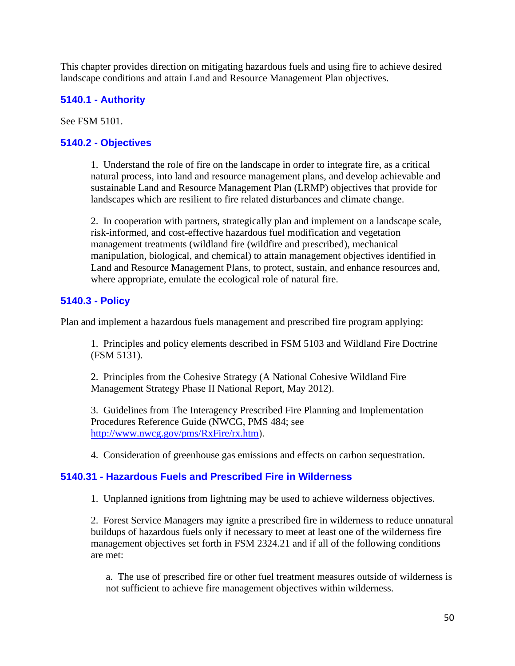This chapter provides direction on mitigating hazardous fuels and using fire to achieve desired landscape conditions and attain Land and Resource Management Plan objectives.

### <span id="page-49-0"></span>**5140.1 - Authority**

See FSM 5101.

### <span id="page-49-1"></span>**5140.2 - Objectives**

1. Understand the role of fire on the landscape in order to integrate fire, as a critical natural process, into land and resource management plans, and develop achievable and sustainable Land and Resource Management Plan (LRMP) objectives that provide for landscapes which are resilient to fire related disturbances and climate change.

2. In cooperation with partners, strategically plan and implement on a landscape scale, risk-informed, and cost-effective hazardous fuel modification and vegetation management treatments (wildland fire (wildfire and prescribed), mechanical manipulation, biological, and chemical) to attain management objectives identified in Land and Resource Management Plans, to protect, sustain, and enhance resources and, where appropriate, emulate the ecological role of natural fire.

### <span id="page-49-2"></span>**5140.3 - Policy**

Plan and implement a hazardous fuels management and prescribed fire program applying:

1. Principles and policy elements described in FSM 5103 and Wildland Fire Doctrine (FSM 5131).

2. Principles from the Cohesive Strategy (A National Cohesive Wildland Fire Management Strategy Phase II National Report, May 2012).

3. Guidelines from The Interagency Prescribed Fire Planning and Implementation Procedures Reference Guide (NWCG, PMS 484; see [http://www.nwcg.gov/pms/RxFire/rx.htm\)](http://www.nwcg.gov/pms/RxFire/rx.htm).

4. Consideration of greenhouse gas emissions and effects on carbon sequestration.

### <span id="page-49-3"></span>**5140.31 - Hazardous Fuels and Prescribed Fire in Wilderness**

1. Unplanned ignitions from lightning may be used to achieve wilderness objectives.

2. Forest Service Managers may ignite a prescribed fire in wilderness to reduce unnatural buildups of hazardous fuels only if necessary to meet at least one of the wilderness fire management objectives set forth in FSM 2324.21 and if all of the following conditions are met:

a. The use of prescribed fire or other fuel treatment measures outside of wilderness is not sufficient to achieve fire management objectives within wilderness.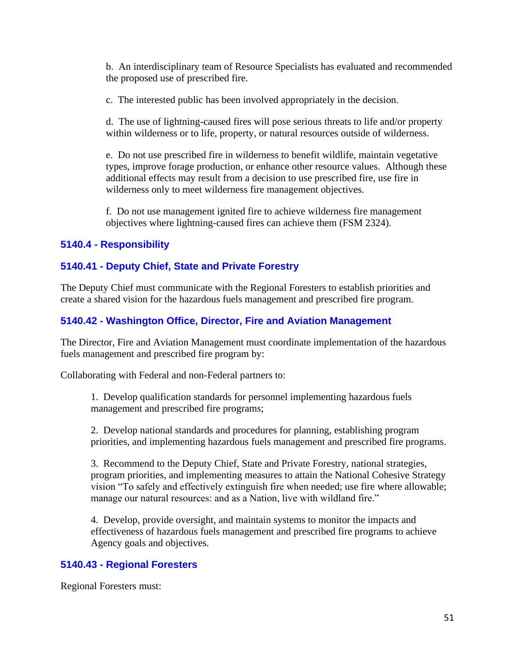b. An interdisciplinary team of Resource Specialists has evaluated and recommended the proposed use of prescribed fire.

c. The interested public has been involved appropriately in the decision.

d. The use of lightning-caused fires will pose serious threats to life and/or property within wilderness or to life, property, or natural resources outside of wilderness.

e. Do not use prescribed fire in wilderness to benefit wildlife, maintain vegetative types, improve forage production, or enhance other resource values. Although these additional effects may result from a decision to use prescribed fire, use fire in wilderness only to meet wilderness fire management objectives.

f. Do not use management ignited fire to achieve wilderness fire management objectives where lightning-caused fires can achieve them (FSM 2324).

### <span id="page-50-0"></span>**5140.4 - Responsibility**

### <span id="page-50-1"></span>**5140.41 - Deputy Chief, State and Private Forestry**

The Deputy Chief must communicate with the Regional Foresters to establish priorities and create a shared vision for the hazardous fuels management and prescribed fire program.

### <span id="page-50-2"></span>**5140.42 - Washington Office, Director, Fire and Aviation Management**

The Director, Fire and Aviation Management must coordinate implementation of the hazardous fuels management and prescribed fire program by:

Collaborating with Federal and non-Federal partners to:

1. Develop qualification standards for personnel implementing hazardous fuels management and prescribed fire programs;

2. Develop national standards and procedures for planning, establishing program priorities, and implementing hazardous fuels management and prescribed fire programs.

3. Recommend to the Deputy Chief, State and Private Forestry, national strategies, program priorities, and implementing measures to attain the National Cohesive Strategy vision "To safely and effectively extinguish fire when needed; use fire where allowable; manage our natural resources: and as a Nation, live with wildland fire."

4. Develop, provide oversight, and maintain systems to monitor the impacts and effectiveness of hazardous fuels management and prescribed fire programs to achieve Agency goals and objectives.

### <span id="page-50-3"></span>**5140.43 - Regional Foresters**

Regional Foresters must: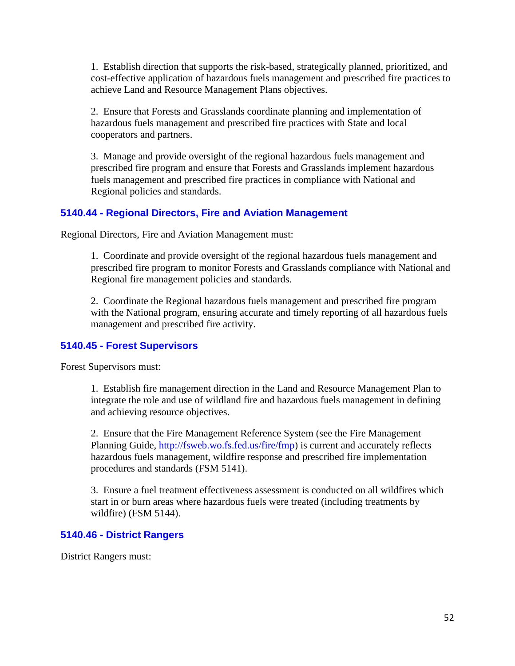1. Establish direction that supports the risk-based, strategically planned, prioritized, and cost-effective application of hazardous fuels management and prescribed fire practices to achieve Land and Resource Management Plans objectives.

2. Ensure that Forests and Grasslands coordinate planning and implementation of hazardous fuels management and prescribed fire practices with State and local cooperators and partners.

3. Manage and provide oversight of the regional hazardous fuels management and prescribed fire program and ensure that Forests and Grasslands implement hazardous fuels management and prescribed fire practices in compliance with National and Regional policies and standards.

### <span id="page-51-0"></span>**5140.44 - Regional Directors, Fire and Aviation Management**

Regional Directors, Fire and Aviation Management must:

1. Coordinate and provide oversight of the regional hazardous fuels management and prescribed fire program to monitor Forests and Grasslands compliance with National and Regional fire management policies and standards.

2. Coordinate the Regional hazardous fuels management and prescribed fire program with the National program, ensuring accurate and timely reporting of all hazardous fuels management and prescribed fire activity.

### <span id="page-51-1"></span>**5140.45 - Forest Supervisors**

Forest Supervisors must:

1. Establish fire management direction in the Land and Resource Management Plan to integrate the role and use of wildland fire and hazardous fuels management in defining and achieving resource objectives.

2. Ensure that the Fire Management Reference System (see the Fire Management Planning Guide, [http://fsweb.wo.fs.fed.us/fire/fmp\)](http://fsweb.wo.fs.fed.us/fire/fmp) is current and accurately reflects hazardous fuels management, wildfire response and prescribed fire implementation procedures and standards (FSM 5141).

3. Ensure a fuel treatment effectiveness assessment is conducted on all wildfires which start in or burn areas where hazardous fuels were treated (including treatments by wildfire) (FSM 5144).

### <span id="page-51-2"></span>**5140.46 - District Rangers**

District Rangers must: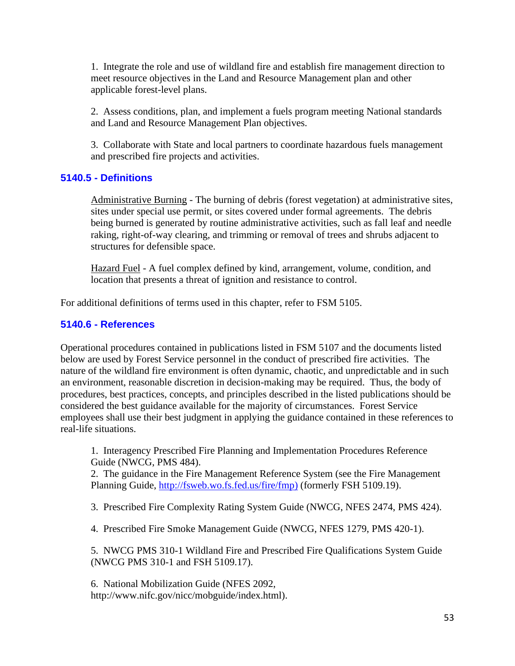1. Integrate the role and use of wildland fire and establish fire management direction to meet resource objectives in the Land and Resource Management plan and other applicable forest-level plans.

2. Assess conditions, plan, and implement a fuels program meeting National standards and Land and Resource Management Plan objectives.

3. Collaborate with State and local partners to coordinate hazardous fuels management and prescribed fire projects and activities.

### <span id="page-52-0"></span>**5140.5 - Definitions**

Administrative Burning - The burning of debris (forest vegetation) at administrative sites, sites under special use permit, or sites covered under formal agreements. The debris being burned is generated by routine administrative activities, such as fall leaf and needle raking, right-of-way clearing, and trimming or removal of trees and shrubs adjacent to structures for defensible space.

Hazard Fuel - A fuel complex defined by kind, arrangement, volume, condition, and location that presents a threat of ignition and resistance to control.

For additional definitions of terms used in this chapter, refer to FSM 5105.

### <span id="page-52-1"></span>**5140.6 - References**

Operational procedures contained in publications listed in FSM 5107 and the documents listed below are used by Forest Service personnel in the conduct of prescribed fire activities. The nature of the wildland fire environment is often dynamic, chaotic, and unpredictable and in such an environment, reasonable discretion in decision-making may be required. Thus, the body of procedures, best practices, concepts, and principles described in the listed publications should be considered the best guidance available for the majority of circumstances. Forest Service employees shall use their best judgment in applying the guidance contained in these references to real-life situations.

1. Interagency Prescribed Fire Planning and Implementation Procedures Reference Guide (NWCG, PMS 484).

2. The guidance in the Fire Management Reference System (see the Fire Management Planning Guide, [http://fsweb.wo.fs.fed.us/fire/fmp\)](http://fsweb.wo.fs.fed.us/fire/fmp) (formerly FSH 5109.19).

3. Prescribed Fire Complexity Rating System Guide (NWCG, NFES 2474, PMS 424).

4. Prescribed Fire Smoke Management Guide (NWCG, NFES 1279, PMS 420-1).

5. NWCG PMS 310-1 Wildland Fire and Prescribed Fire Qualifications System Guide (NWCG PMS 310-1 and FSH 5109.17).

6. National Mobilization Guide (NFES 2092, http://www.nifc.gov/nicc/mobguide/index.html).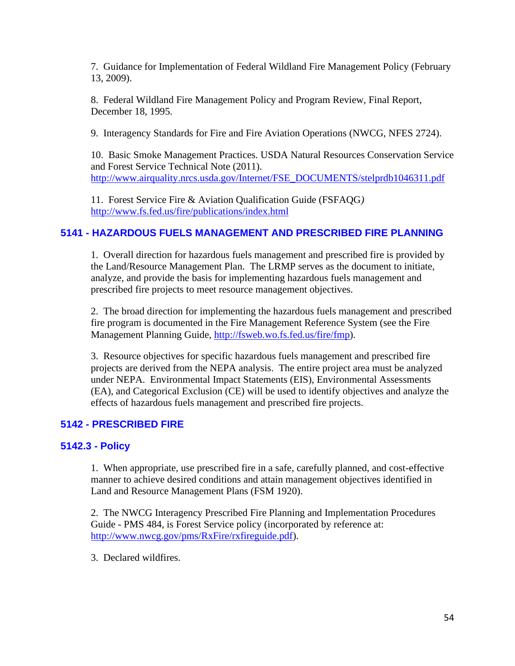7. Guidance for Implementation of Federal Wildland Fire Management Policy (February 13, 2009).

8. Federal Wildland Fire Management Policy and Program Review, Final Report, December 18, 1995.

9. Interagency Standards for Fire and Fire Aviation Operations (NWCG, NFES 2724).

10. Basic Smoke Management Practices. USDA Natural Resources Conservation Service and Forest Service Technical Note (2011). [http://www.airquality.nrcs.usda.gov/Internet/FSE\\_DOCUMENTS/stelprdb1046311.pdf](http://www.airquality.nrcs.usda.gov/Internet/FSE_DOCUMENTS/stelprdb1046311.pdf)

11. Forest Service Fire & Aviation Qualification Guide (FSFAQG*)* <http://www.fs.fed.us/fire/publications/index.html>

### <span id="page-53-0"></span>**5141 - HAZARDOUS FUELS MANAGEMENT AND PRESCRIBED FIRE PLANNING**

1. Overall direction for hazardous fuels management and prescribed fire is provided by the Land/Resource Management Plan. The LRMP serves as the document to initiate, analyze, and provide the basis for implementing hazardous fuels management and prescribed fire projects to meet resource management objectives.

2. The broad direction for implementing the hazardous fuels management and prescribed fire program is documented in the Fire Management Reference System (see the Fire Management Planning Guide, [http://fsweb.wo.fs.fed.us/fire/fmp\)](http://fsweb.wo.fs.fed.us/fire/fmp).

3. Resource objectives for specific hazardous fuels management and prescribed fire projects are derived from the NEPA analysis. The entire project area must be analyzed under NEPA. Environmental Impact Statements (EIS), Environmental Assessments (EA), and Categorical Exclusion (CE) will be used to identify objectives and analyze the effects of hazardous fuels management and prescribed fire projects.

### <span id="page-53-1"></span>**5142 - PRESCRIBED FIRE**

### <span id="page-53-2"></span>**5142.3 - Policy**

1. When appropriate, use prescribed fire in a safe, carefully planned, and cost-effective manner to achieve desired conditions and attain management objectives identified in Land and Resource Management Plans (FSM 1920).

2. The NWCG Interagency Prescribed Fire Planning and Implementation Procedures Guide - PMS 484, is Forest Service policy (incorporated by reference at: [http://www.nwcg.gov/pms/RxFire/rxfireguide.pdf\)](http://www.nwcg.gov/pms/RxFire/rxfireguide.pdf).

3. Declared wildfires.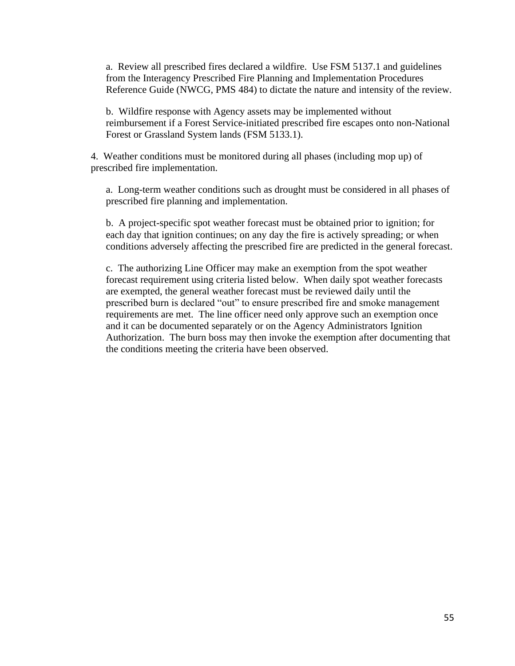a. Review all prescribed fires declared a wildfire. Use FSM 5137.1 and guidelines from the Interagency Prescribed Fire Planning and Implementation Procedures Reference Guide (NWCG, PMS 484) to dictate the nature and intensity of the review.

b. Wildfire response with Agency assets may be implemented without reimbursement if a Forest Service-initiated prescribed fire escapes onto non-National Forest or Grassland System lands (FSM 5133.1).

4. Weather conditions must be monitored during all phases (including mop up) of prescribed fire implementation.

a. Long-term weather conditions such as drought must be considered in all phases of prescribed fire planning and implementation.

b. A project-specific spot weather forecast must be obtained prior to ignition; for each day that ignition continues; on any day the fire is actively spreading; or when conditions adversely affecting the prescribed fire are predicted in the general forecast.

c. The authorizing Line Officer may make an exemption from the spot weather forecast requirement using criteria listed below. When daily spot weather forecasts are exempted, the general weather forecast must be reviewed daily until the prescribed burn is declared "out" to ensure prescribed fire and smoke management requirements are met. The line officer need only approve such an exemption once and it can be documented separately or on the Agency Administrators Ignition Authorization. The burn boss may then invoke the exemption after documenting that the conditions meeting the criteria have been observed.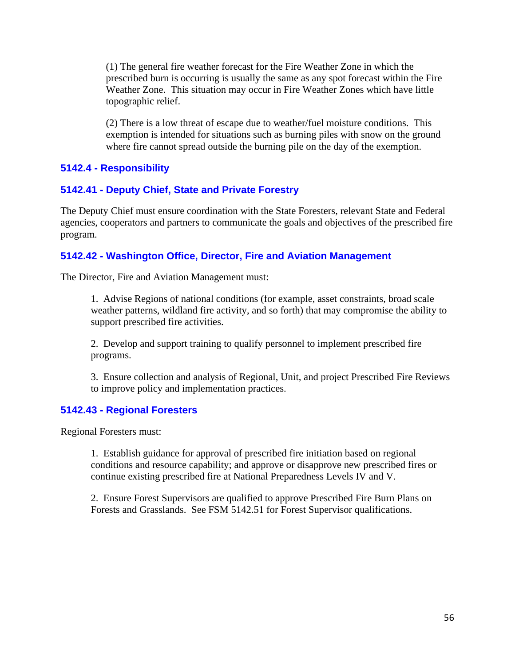(1) The general fire weather forecast for the Fire Weather Zone in which the prescribed burn is occurring is usually the same as any spot forecast within the Fire Weather Zone. This situation may occur in Fire Weather Zones which have little topographic relief.

(2) There is a low threat of escape due to weather/fuel moisture conditions. This exemption is intended for situations such as burning piles with snow on the ground where fire cannot spread outside the burning pile on the day of the exemption.

### <span id="page-55-0"></span>**5142.4 - Responsibility**

### <span id="page-55-1"></span>**5142.41 - Deputy Chief, State and Private Forestry**

The Deputy Chief must ensure coordination with the State Foresters, relevant State and Federal agencies, cooperators and partners to communicate the goals and objectives of the prescribed fire program.

### <span id="page-55-2"></span>**5142.42 - Washington Office, Director, Fire and Aviation Management**

The Director, Fire and Aviation Management must:

1. Advise Regions of national conditions (for example, asset constraints, broad scale weather patterns, wildland fire activity, and so forth) that may compromise the ability to support prescribed fire activities.

2. Develop and support training to qualify personnel to implement prescribed fire programs.

3. Ensure collection and analysis of Regional, Unit, and project Prescribed Fire Reviews to improve policy and implementation practices.

### <span id="page-55-3"></span>**5142.43 - Regional Foresters**

Regional Foresters must:

1. Establish guidance for approval of prescribed fire initiation based on regional conditions and resource capability; and approve or disapprove new prescribed fires or continue existing prescribed fire at National Preparedness Levels IV and V.

2. Ensure Forest Supervisors are qualified to approve Prescribed Fire Burn Plans on Forests and Grasslands. See FSM 5142.51 for Forest Supervisor qualifications.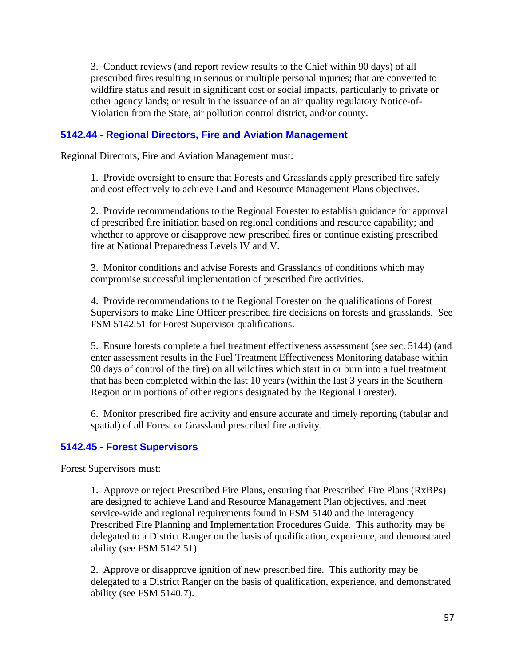3. Conduct reviews (and report review results to the Chief within 90 days) of all prescribed fires resulting in serious or multiple personal injuries; that are converted to wildfire status and result in significant cost or social impacts, particularly to private or other agency lands; or result in the issuance of an air quality regulatory Notice-of-Violation from the State, air pollution control district, and/or county.

### <span id="page-56-0"></span>**5142.44 - Regional Directors, Fire and Aviation Management**

Regional Directors, Fire and Aviation Management must:

1. Provide oversight to ensure that Forests and Grasslands apply prescribed fire safely and cost effectively to achieve Land and Resource Management Plans objectives.

2. Provide recommendations to the Regional Forester to establish guidance for approval of prescribed fire initiation based on regional conditions and resource capability; and whether to approve or disapprove new prescribed fires or continue existing prescribed fire at National Preparedness Levels IV and V.

3. Monitor conditions and advise Forests and Grasslands of conditions which may compromise successful implementation of prescribed fire activities.

4. Provide recommendations to the Regional Forester on the qualifications of Forest Supervisors to make Line Officer prescribed fire decisions on forests and grasslands. See FSM 5142.51 for Forest Supervisor qualifications.

5. Ensure forests complete a fuel treatment effectiveness assessment (see sec. 5144) (and enter assessment results in the Fuel Treatment Effectiveness Monitoring database within 90 days of control of the fire) on all wildfires which start in or burn into a fuel treatment that has been completed within the last 10 years (within the last 3 years in the Southern Region or in portions of other regions designated by the Regional Forester).

6. Monitor prescribed fire activity and ensure accurate and timely reporting (tabular and spatial) of all Forest or Grassland prescribed fire activity.

### <span id="page-56-1"></span>**5142.45 - Forest Supervisors**

Forest Supervisors must:

1. Approve or reject Prescribed Fire Plans, ensuring that Prescribed Fire Plans (RxBPs) are designed to achieve Land and Resource Management Plan objectives, and meet service-wide and regional requirements found in FSM 5140 and the Interagency Prescribed Fire Planning and Implementation Procedures Guide. This authority may be delegated to a District Ranger on the basis of qualification, experience, and demonstrated ability (see FSM 5142.51).

2. Approve or disapprove ignition of new prescribed fire. This authority may be delegated to a District Ranger on the basis of qualification, experience, and demonstrated ability (see FSM 5140.7).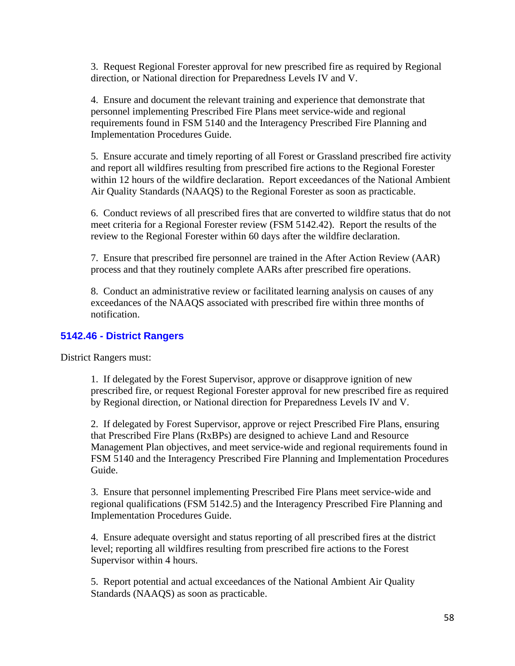3. Request Regional Forester approval for new prescribed fire as required by Regional direction, or National direction for Preparedness Levels IV and V.

4. Ensure and document the relevant training and experience that demonstrate that personnel implementing Prescribed Fire Plans meet service-wide and regional requirements found in FSM 5140 and the Interagency Prescribed Fire Planning and Implementation Procedures Guide.

5. Ensure accurate and timely reporting of all Forest or Grassland prescribed fire activity and report all wildfires resulting from prescribed fire actions to the Regional Forester within 12 hours of the wildfire declaration. Report exceedances of the National Ambient Air Quality Standards (NAAQS) to the Regional Forester as soon as practicable.

6. Conduct reviews of all prescribed fires that are converted to wildfire status that do not meet criteria for a Regional Forester review (FSM 5142.42). Report the results of the review to the Regional Forester within 60 days after the wildfire declaration.

7. Ensure that prescribed fire personnel are trained in the After Action Review (AAR) process and that they routinely complete AARs after prescribed fire operations.

8. Conduct an administrative review or facilitated learning analysis on causes of any exceedances of the NAAQS associated with prescribed fire within three months of notification.

### <span id="page-57-0"></span>**5142.46 - District Rangers**

District Rangers must:

1. If delegated by the Forest Supervisor, approve or disapprove ignition of new prescribed fire, or request Regional Forester approval for new prescribed fire as required by Regional direction, or National direction for Preparedness Levels IV and V.

2. If delegated by Forest Supervisor, approve or reject Prescribed Fire Plans, ensuring that Prescribed Fire Plans (RxBPs) are designed to achieve Land and Resource Management Plan objectives, and meet service-wide and regional requirements found in FSM 5140 and the Interagency Prescribed Fire Planning and Implementation Procedures Guide.

3. Ensure that personnel implementing Prescribed Fire Plans meet service-wide and regional qualifications (FSM 5142.5) and the Interagency Prescribed Fire Planning and Implementation Procedures Guide.

4. Ensure adequate oversight and status reporting of all prescribed fires at the district level; reporting all wildfires resulting from prescribed fire actions to the Forest Supervisor within 4 hours.

5. Report potential and actual exceedances of the National Ambient Air Quality Standards (NAAQS) as soon as practicable.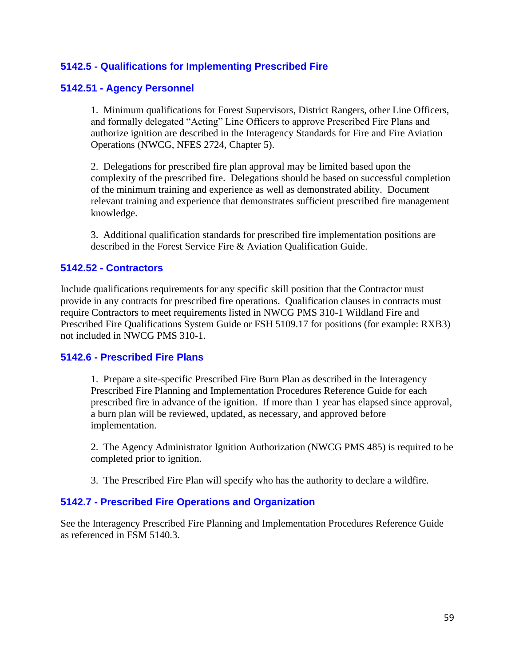### <span id="page-58-0"></span>**5142.5 - Qualifications for Implementing Prescribed Fire**

### <span id="page-58-1"></span>**5142.51 - Agency Personnel**

1. Minimum qualifications for Forest Supervisors, District Rangers, other Line Officers, and formally delegated "Acting" Line Officers to approve Prescribed Fire Plans and authorize ignition are described in the Interagency Standards for Fire and Fire Aviation Operations (NWCG, NFES 2724, Chapter 5).

2. Delegations for prescribed fire plan approval may be limited based upon the complexity of the prescribed fire. Delegations should be based on successful completion of the minimum training and experience as well as demonstrated ability. Document relevant training and experience that demonstrates sufficient prescribed fire management knowledge.

3. Additional qualification standards for prescribed fire implementation positions are described in the Forest Service Fire & Aviation Qualification Guide.

### <span id="page-58-2"></span>**5142.52 - Contractors**

Include qualifications requirements for any specific skill position that the Contractor must provide in any contracts for prescribed fire operations. Qualification clauses in contracts must require Contractors to meet requirements listed in NWCG PMS 310-1 Wildland Fire and Prescribed Fire Qualifications System Guide or FSH 5109.17 for positions (for example: RXB3) not included in NWCG PMS 310-1.

#### <span id="page-58-3"></span>**5142.6 - Prescribed Fire Plans**

1. Prepare a site-specific Prescribed Fire Burn Plan as described in the Interagency Prescribed Fire Planning and Implementation Procedures Reference Guide for each prescribed fire in advance of the ignition. If more than 1 year has elapsed since approval, a burn plan will be reviewed, updated, as necessary, and approved before implementation.

2. The Agency Administrator Ignition Authorization (NWCG PMS 485) is required to be completed prior to ignition.

3. The Prescribed Fire Plan will specify who has the authority to declare a wildfire.

### <span id="page-58-4"></span>**5142.7 - Prescribed Fire Operations and Organization**

See the Interagency Prescribed Fire Planning and Implementation Procedures Reference Guide as referenced in FSM 5140.3.